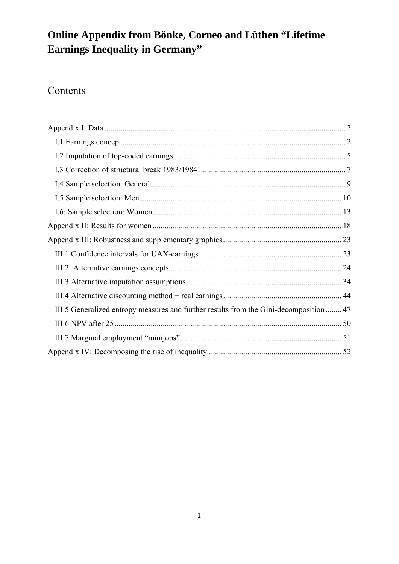# **Online Appendix from Bönke, Corneo and Lüthen "Lifetime Earnings Inequality in Germany"**

# Contents

| III.5 Generalized entropy measures and further results from the Gini-decomposition  47 |  |
|----------------------------------------------------------------------------------------|--|
|                                                                                        |  |
|                                                                                        |  |
|                                                                                        |  |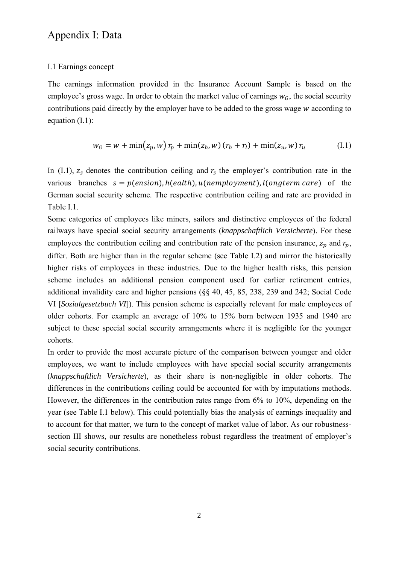### Appendix I: Data

### I.1 Earnings concept

The earnings information provided in the Insurance Account Sample is based on the employee's gross wage. In order to obtain the market value of earnings  $w_c$ , the social security contributions paid directly by the employer have to be added to the gross wage w according to equation (I.1):

$$
w_G = w + \min(z_p, w) r_p + \min(z_h, w) (r_h + r_l) + \min(z_u, w) r_u
$$
 (I.1)

In (I.1),  $z_s$  denotes the contribution ceiling and  $r_s$  the employer's contribution rate in the various branches  $s = p(\text{ension})$ ,  $h(\text{each})$ ,  $u(\text{nemployment})$ ,  $l(\text{ongterm care})$  of the German social security scheme. The respective contribution ceiling and rate are provided in Table I.1.

Some categories of employees like miners, sailors and distinctive employees of the federal railways have special social security arrangements (*knappschaftlich Versicherte*). For these employees the contribution ceiling and contribution rate of the pension insurance,  $z_p$  and  $r_p$ , differ. Both are higher than in the regular scheme (see Table I.2) and mirror the historically higher risks of employees in these industries. Due to the higher health risks, this pension scheme includes an additional pension component used for earlier retirement entries, additional invalidity care and higher pensions (§§ 40, 45, 85, 238, 239 and 242; Social Code VI [*Sozialgesetzbuch VI*]). This pension scheme is especially relevant for male employees of older cohorts. For example an average of 10% to 15% born between 1935 and 1940 are subject to these special social security arrangements where it is negligible for the younger cohorts.

In order to provide the most accurate picture of the comparison between younger and older employees, we want to include employees with have special social security arrangements (*knappschaftlich Versicherte*), as their share is non-negligible in older cohorts. The differences in the contributions ceiling could be accounted for with by imputations methods. However, the differences in the contribution rates range from 6% to 10%, depending on the year (see Table I.1 below). This could potentially bias the analysis of earnings inequality and to account for that matter, we turn to the concept of market value of labor. As our robustnesssection III shows, our results are nonetheless robust regardless the treatment of employer's social security contributions.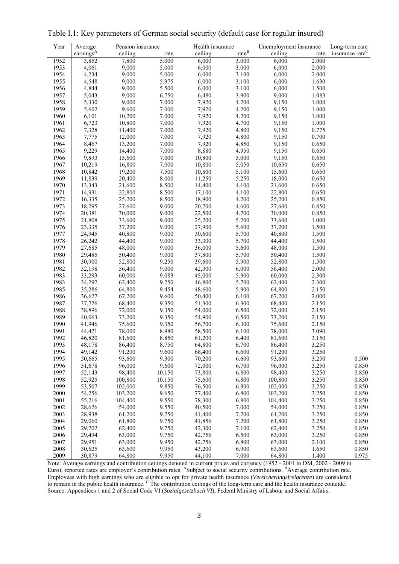| Year | Average               | Pension insurance |        | Health insurance |          | Unemployment insurance |       | Long-term care              |
|------|-----------------------|-------------------|--------|------------------|----------|------------------------|-------|-----------------------------|
|      | earnings <sup>A</sup> | ceiling           | rate   | ceiling          | $rate^B$ | ceiling                | rate  | insurance rate <sup>C</sup> |
| 1952 | 3,852                 | 7,800             | 5.000  | 6,000            | 3.000    | 6,000                  | 2.000 |                             |
| 1953 | 4,061                 | 9,000             | 5.000  | 6,000            | 3.000    | 6,000                  | 2.000 |                             |
| 1954 | 4,234                 | 9,000             | 5.000  | 6,000            | 3.100    | 6,000                  | 2.000 |                             |
| 1955 | 4,548                 | 9,000             | 5.375  | 6,000            | 3.100    | 6,000                  | 1.630 |                             |
| 1956 | 4,844                 | 9,000             | 5.500  | 6,000            | 3.100    | 6,000                  | 1.500 |                             |
| 1957 | 5,043                 | 9,000             | 6.750  | 6,480            | 3.900    | 9,000                  | 1.083 |                             |
| 1958 | 5,330                 | 9,000             | 7.000  | 7,920            | 4.200    | 9,150                  | 1.000 |                             |
| 1959 | 5,602                 | 9,600             | 7.000  | 7,920            | 4.200    | 9,150                  | 1.000 |                             |
| 1960 | 6,101                 | 10,200            | 7.000  | 7,920            | 4.200    | 9,150                  | 1.000 |                             |
| 1961 | 6,723                 | 10,800            | 7.000  | 7,920            | 4.700    | 9,150                  | 1.000 |                             |
| 1962 | 7,328                 | 11,400            | 7.000  | 7,920            | 4.800    | 9,150                  | 0.775 |                             |
| 1963 | 7,775                 | 12,000            | 7.000  | 7,920            | 4.800    | 9,150                  | 0.700 |                             |
| 1964 | 8,467                 | 13,200            | 7.000  | 7,920            | 4.850    | 9,150                  | 0.650 |                             |
| 1965 | 9,229                 | 14,400            | 7.000  | 8,880            | 4.950    | 9,150                  | 0.650 |                             |
| 1966 | 9,893                 | 15,600            | 7.000  | 10,800           | 5.000    | 9,150                  | 0.650 |                             |
| 1967 | 10,219                | 16,800            | 7.000  | 10,800           | 5.050    | 10,650                 | 0.650 |                             |
| 1968 | 10,842                | 19,200            | 7.500  | 10,800           | 5.100    | 15,600                 | 0.650 |                             |
| 1969 | 11,839                | 20,400            | 8.000  | 11,250           | 5.250    | 18,000                 | 0.650 |                             |
| 1970 | 13,343                | 21,600            | 8.500  | 14,400           | 4.100    | 21,600                 | 0.650 |                             |
| 1971 | 14,931                | 22,800            | 8.500  | 17,100           | 4.100    | 22,800                 | 0.650 |                             |
| 1972 | 16,335                | 25,200            | 8.500  | 18,900           | 4.200    | 25,200                 | 0.850 |                             |
| 1973 | 18,295                | 27,600            | 9.000  | 20,700           | 4.600    | 27,600                 | 0.850 |                             |
| 1974 | 20,381                | 30,000            | 9.000  | 22,500           | 4.700    | 30,000                 | 0.850 |                             |
| 1975 | 21,808                | 33,600            | 9.000  | 25,200           | 5.200    | 33,600                 | 1.000 |                             |
| 1976 | 23,335                | 37,200            | 9.000  | 27,900           | 5.600    | 37,200                 | 1.500 |                             |
| 1977 | 24,945                | 40,800            | 9.000  | 30,600           | 5.700    | 40,800                 | 1.500 |                             |
| 1978 | 26,242                | 44,400            | 9.000  | 33,300           | 5.700    | 44,400                 | 1.500 |                             |
| 1979 | 27,685                | 48,000            | 9.000  | 36,000           | 5.600    | 48,000                 | 1.500 |                             |
| 1980 | 29,485                | 50,400            | 9.000  | 37,800           | 5.700    | 50,400                 | 1.500 |                             |
| 1981 | 30,900                | 52,800            | 9.250  | 39,600           | 5.900    | 52,800                 | 1.500 |                             |
| 1982 | 32,198                | 56,400            | 9.000  | 42,300           | 6.000    | 56,400                 | 2.000 |                             |
| 1983 | 33,293                | 60,000            | 9.083  | 45,000           | 5.900    | 60,000                 | 2.300 |                             |
| 1983 | 34,292                | 62,400            | 9.250  | 46,800           | 5.700    | 62,400                 | 2.300 |                             |
| 1985 | 35,286                | 64,800            | 9.454  | 48,600           | 5.900    | 64,800                 | 2.150 |                             |
| 1986 | 36,627                | 67,200            | 9.600  | 50,400           | 6.100    | 67,200                 | 2.000 |                             |
| 1987 | 37,726                | 68,400            | 9.350  | 51,300           | 6.300    | 68,400                 | 2.150 |                             |
| 1988 | 38,896                | 72,000            | 9.350  | 54,000           | 6.500    | 72,000                 | 2.150 |                             |
| 1989 | 40,063                | 73,200            | 9.350  | 54,900           | 6.500    | 73,200                 | 2.150 |                             |
| 1990 | 41,946                | 75,600            | 9.350  | 56,700           | 6.300    | 75,600                 | 2.150 |                             |
| 1991 | 44,421                | 78,000            | 8.980  | 58,500           | 6.100    | 78,000                 | 3.090 |                             |
| 1992 | 46,820                | 81,600            | 8.850  | 61,200           | 6.400    | 81,600                 | 3.150 |                             |
| 1993 | 48,178                | 86,400            | 8.750  | 64,800           | 6.700    | 86,400                 | 3.250 |                             |
| 1994 | 49,142                | 91,200            | 9.600  | 68,400           | 6.600    | 91,200                 | 3.250 |                             |
| 1995 | 50,665                | 93,600            | 9.300  | 70,200           | 6.600    | 93,600                 | 3.250 | 0.500                       |
| 1996 | 51,678                | 96,000            | 9.600  | 72,000           | 6.700    | 96,000                 | 3.250 | 0.850                       |
| 1997 | 52,143                | 98,400            | 10.150 | 73,800           | 6.800    | 98,400                 | 3.250 | 0.850                       |
| 1998 | 52,925                | 100,800           | 10.150 | 75,600           | 6.800    | 100,800                | 3.250 | 0.850                       |
| 1999 | 53,507                | 102,000           | 9.850  | 76,500           | 6.800    | 102,000                | 3.250 | 0.850                       |
| 2000 | 54,256                | 103,200           | 9.650  | 77,400           | 6.800    | 103,200                | 3.250 | 0.850                       |
| 2001 | 55,216                | 104,400           | 9.550  | 78,300           | 6.800    | 104,400                | 3.250 | 0.850                       |
| 2002 | 28,626                | 54,000            | 9.550  | 40,500           | 7.000    | 54,000                 | 3.250 | 0.850                       |
| 2003 | 28,938                | 61,200            | 9.750  | 41,400           | 7.200    | 61,200                 | 3.250 | 0.850                       |
| 2004 | 29,060                | 61,800            | 9.750  | 41,856           | 7.200    | 61,800                 | 3.250 | 0.850                       |
| 2005 | 29,202                | 62,400            | 9.750  | 42,300           | 7.100    | 62,400                 | 3.250 | 0.850                       |
| 2006 | 29,494                | 63,000            | 9.750  | 42,756           | 6.500    | 63,000                 | 3.250 | 0.850                       |
| 2007 | 29,951                | 63,000            | 9.950  | 42,756           | 6.800    | 63,000                 | 2.100 | 0.850                       |
| 2008 | 30,625                | 63,600            | 9.950  | 43,200           | 6.900    | 63,600                 | 1.650 | 0.850                       |
| 2009 | 30,879                | 64,800            | 9.950  | 44,100           | 7.000    | 64,800                 | 1.400 | 0.975                       |

Table I.1: Key parameters of German social security (default case for regular insured)

Note: Average earnings and contribution ceilings denoted in current prices and currency (1952 - 2001 in DM, 2002 - 2009 in Euro), reported rates are employer's contribution rates. A Subject to social security contributions. <sup>B</sup> Average contribution rate. Employees with high earnings who are eligible to opt for private health insurance (*Versicherungsfreigrenze*) are considered to remain in the public health insurance. <sup>C</sup> The contribution ceilings of the long-term care and the health insurance coincide. Source: Appendices 1 and 2 of Social Code VI (*Sozialgesetzbuch VI*), Federal Ministry of Labour and Social Affairs.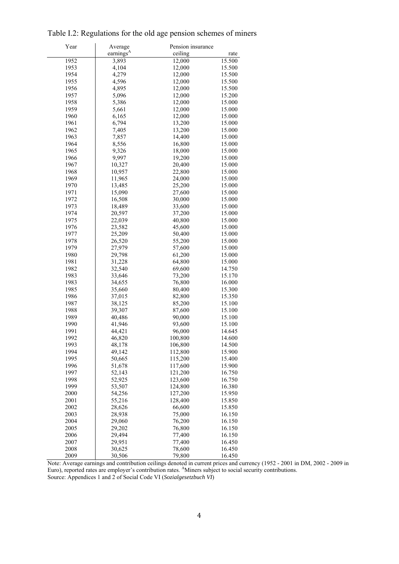| Year | Average               | Pension insurance |        |
|------|-----------------------|-------------------|--------|
|      | earnings <sup>A</sup> | ceiling           | rate   |
| 1952 | 3,893                 | 12,000            | 15.500 |
| 1953 | 4,104                 | 12,000            | 15.500 |
| 1954 | 4,279                 | 12,000            | 15.500 |
| 1955 | 4,596                 | 12,000            | 15.500 |
| 1956 | 4,895                 | 12,000            | 15.500 |
| 1957 | 5,096                 | 12,000            | 15.200 |
| 1958 | 5,386                 | 12,000            | 15.000 |
| 1959 | 5,661                 | 12,000            | 15.000 |
| 1960 | 6,165                 | 12,000            | 15.000 |
| 1961 | 6,794                 | 13,200            | 15.000 |
| 1962 | 7,405                 | 13,200            | 15.000 |
| 1963 | 7,857                 | 14,400            | 15.000 |
| 1964 | 8,556                 | 16,800            | 15.000 |
| 1965 | 9,326                 | 18,000            | 15.000 |
| 1966 | 9,997                 | 19,200            | 15.000 |
| 1967 | 10,327                | 20,400            | 15.000 |
| 1968 | 10,957                | 22,800            | 15.000 |
| 1969 | 11,965                | 24,000            | 15.000 |
| 1970 | 13,485                | 25,200            | 15.000 |
| 1971 | 15,090                | 27,600            | 15.000 |
| 1972 | 16,508                | 30,000            | 15.000 |
| 1973 | 18,489                | 33,600            | 15.000 |
| 1974 | 20,597                | 37,200            | 15.000 |
| 1975 | 22,039                | 40,800            | 15.000 |
| 1976 | 23,582                | 45,600            | 15.000 |
| 1977 | 25,209                | 50,400            | 15.000 |
| 1978 | 26,520                | 55,200            | 15.000 |
| 1979 | 27,979                | 57,600            | 15.000 |
| 1980 | 29,798                | 61,200            | 15.000 |
| 1981 | 31,228                | 64,800            | 15.000 |
| 1982 | 32,540                | 69,600            | 14.750 |
| 1983 | 33,646                | 73,200            | 15.170 |
| 1983 | 34,655                | 76,800            | 16.000 |
| 1985 | 35,660                | 80,400            | 15.300 |
| 1986 | 37,015                | 82,800            | 15.350 |
| 1987 | 38,125                | 85,200            | 15.100 |
| 1988 | 39,307                | 87,600            | 15.100 |
| 1989 | 40,486                | 90,000            | 15.100 |
| 1990 | 41,946                | 93,600            | 15.100 |
| 1991 | 44,421                | 96,000            | 14.645 |
| 1992 | 46,820                | 100,800           | 14.600 |
| 1993 | 48,178                | 106,800           | 14.500 |
| 1994 | 49,142                | 112,800           | 15.900 |
| 1995 | 50,665                | 115,200           | 15.400 |
| 1996 | 51,678                | 117,600           | 15.900 |
| 1997 | 52,143                | 121,200           | 16.750 |
| 1998 | 52,925                | 123,600           | 16.750 |
| 1999 | 53,507                | 124,800           | 16.380 |
| 2000 | 54,256                | 127,200           | 15.950 |
| 2001 | 55,216                | 128,400           | 15.850 |
| 2002 | 28,626                | 66,600            | 15.850 |
| 2003 | 28,938                | 75,000            | 16.150 |
| 2004 | 29,060                | 76,200            | 16.150 |
| 2005 | 29,202                | 76,800            | 16.150 |
| 2006 | 29,494                | 77,400            | 16.150 |
| 2007 | 29,951                | 77,400            | 16.450 |
| 2008 | 30,625                | 78,600            | 16.450 |
| 2009 | 30,506                | 79,800            | 16.450 |

Table I.2: Regulations for the old age pension schemes of miners

Note: Average earnings and contribution ceilings denoted in current prices and currency (1952 - 2001 in DM, 2002 - 2009 in Euro), reported rates are employer's contribution rates. A Miners subject to social security contributions. Source: Appendices 1 and 2 of Social Code VI (*Sozialgesetzbuch VI*)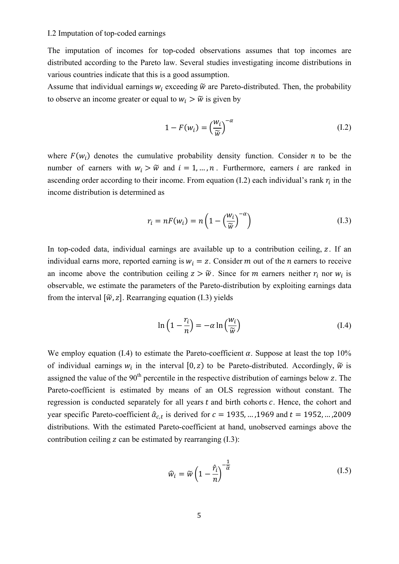### I.2 Imputation of top-coded earnings

The imputation of incomes for top-coded observations assumes that top incomes are distributed according to the Pareto law. Several studies investigating income distributions in various countries indicate that this is a good assumption.

Assume that individual earnings  $w_i$  exceeding  $\tilde{w}$  are Pareto-distributed. Then, the probability to observe an income greater or equal to  $w_i > \tilde{w}$  is given by

$$
1 - F(w_i) = \left(\frac{w_i}{\widetilde{w}}\right)^{-\alpha} \tag{I.2}
$$

where  $F(w_i)$  denotes the cumulative probability density function. Consider *n* to be the number of earners with  $w_i > \tilde{w}$  and  $i = 1, ..., n$ . Furthermore, earners *i* are ranked in ascending order according to their income. From equation (I.2) each individual's rank  $r_i$  in the income distribution is determined as

$$
r_i = nF(w_i) = n\left(1 - \left(\frac{w_i}{\widetilde{w}}\right)^{-\alpha}\right)
$$
 (I.3)

In top-coded data, individual earnings are available up to a contribution ceiling,  $z$ . If an individual earns more, reported earning is  $w_i = z$ . Consider m out of the n earners to receive an income above the contribution ceiling  $z > \tilde{w}$ . Since for *m* earners neither  $r_i$  nor  $w_i$  is observable, we estimate the parameters of the Pareto-distribution by exploiting earnings data from the interval  $[\tilde{w}, z]$ . Rearranging equation (I.3) yields

$$
\ln\left(1 - \frac{r_i}{n}\right) = -\alpha \ln\left(\frac{w_i}{\widetilde{w}}\right) \tag{I.4}
$$

We employ equation (I.4) to estimate the Pareto-coefficient  $\alpha$ . Suppose at least the top 10% of individual earnings  $w_i$  in the interval  $[0, z)$  to be Pareto-distributed. Accordingly,  $\tilde{w}$  is assigned the value of the  $90<sup>th</sup>$  percentile in the respective distribution of earnings below z. The Pareto-coefficient is estimated by means of an OLS regression without constant. The regression is conducted separately for all years  $t$  and birth cohorts  $c$ . Hence, the cohort and year specific Pareto-coefficient  $\hat{\alpha}_{ct}$  is derived for  $c = 1935, ...$ , 1969 and  $t = 1952, ...$ , 2009 distributions. With the estimated Pareto-coefficient at hand, unobserved earnings above the contribution ceiling  $z$  can be estimated by rearranging  $(I.3)$ :

$$
\widehat{w}_i = \widetilde{w} \left( 1 - \frac{\hat{r}_i}{n} \right)^{-\frac{1}{\widehat{\alpha}}} \tag{I.5}
$$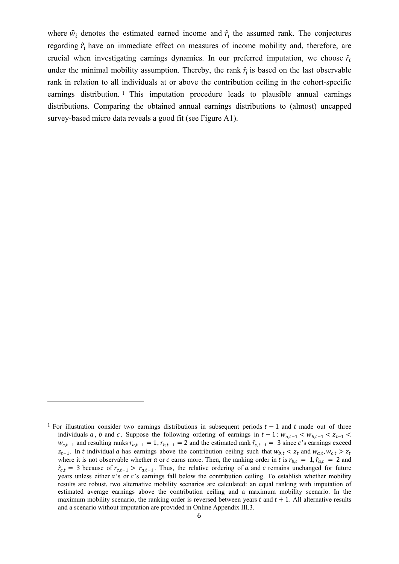where  $\hat{w}_i$  denotes the estimated earned income and  $\hat{r}_i$  the assumed rank. The conjectures regarding  $\hat{r}_i$  have an immediate effect on measures of income mobility and, therefore, are crucial when investigating earnings dynamics. In our preferred imputation, we choose  $\hat{r}_i$ under the minimal mobility assumption. Thereby, the rank  $\hat{r}_i$  is based on the last observable rank in relation to all individuals at or above the contribution ceiling in the cohort-specific earnings distribution.<sup>1</sup> This imputation procedure leads to plausible annual earnings distributions. Comparing the obtained annual earnings distributions to (almost) uncapped survey-based micro data reveals a good fit (see Figure A1).

 

<sup>&</sup>lt;sup>1</sup> For illustration consider two earnings distributions in subsequent periods  $t-1$  and t made out of three individuals a, b and c. Suppose the following ordering of earnings in  $t-1$ :  $w_{a,t-1} < w_{b,t-1} < z_{t-1}$  $w_{c,t-1}$  and resulting ranks  $r_{a,t-1} = 1$ ,  $r_{b,t-1} = 2$  and the estimated rank  $\hat{r}_{c,t-1} = 3$  since c's earnings exceed  $z_{t-1}$ . In t individual a has earnings above the contribution ceiling such that  $w_{b,t} < z_t$  and  $w_{a,t}, w_{c,t} > z_t$ where it is not observable whether a or c earns more. Then, the ranking order in t is  $r_{b,t} = 1$ ,  $\hat{r}_{a,t} = 2$  and  $\hat{r}_{c,t}$  = 3 because of  $r_{c,t-1} > r_{a,t-1}$ . Thus, the relative ordering of a and c remains unchanged for future years unless either  $a$ 's or  $c$ 's earnings fall below the contribution ceiling. To establish whether mobility results are robust, two alternative mobility scenarios are calculated: an equal ranking with imputation of estimated average earnings above the contribution ceiling and a maximum mobility scenario. In the maximum mobility scenario, the ranking order is reversed between years  $t$  and  $t + 1$ . All alternative results and a scenario without imputation are provided in Online Appendix III.3.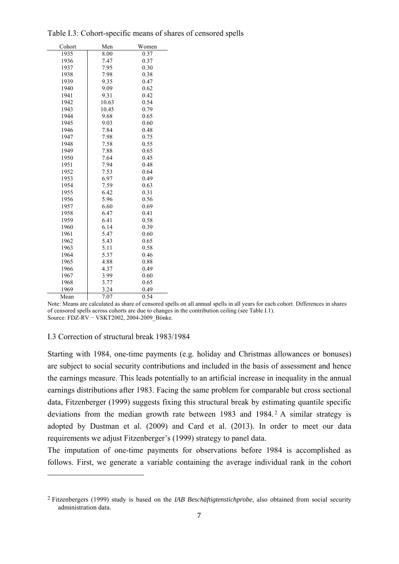| Cohort | Men   | Women |
|--------|-------|-------|
| 1935   | 8.00  | 0.37  |
| 1936   | 7.47  | 0.37  |
| 1937   | 7.95  | 0.30  |
| 1938   | 7.98  | 0.38  |
| 1939   | 9.35  | 0.47  |
| 1940   | 9.09  | 0.62  |
| 1941   | 9.31  | 0.42  |
| 1942   | 10.63 | 0.54  |
| 1943   | 10.45 | 0.79  |
| 1944   | 9.68  | 0.65  |
| 1945   | 9.03  | 0.60  |
| 1946   | 7.84  | 0.48  |
| 1947   | 7.98  | 0.75  |
| 1948   | 7.58  | 0.55  |
| 1949   | 7.88  | 0.65  |
| 1950   | 7.64  | 0.45  |
| 1951   | 7.94  | 0.48  |
| 1952   | 7.53  | 0.64  |
| 1953   | 6.97  | 0.49  |
| 1954   | 7.59  | 0.63  |
| 1955   | 6.42  | 0.31  |
| 1956   | 5.96  | 0.56  |
| 1957   | 6.60  | 0.69  |
| 1958   | 6.47  | 0.41  |
| 1959   | 6.41  | 0.58  |
| 1960   | 6.14  | 0.39  |
| 1961   | 5.47  | 0.60  |
| 1962   | 5.43  | 0.65  |
| 1963   | 5.11  | 0.58  |
| 1964   | 5.37  | 0.46  |
| 1965   | 4.88  | 0.88  |
| 1966   | 4.37  | 0.49  |
| 1967   | 3.99  | 0.60  |
| 1968   | 3.77  | 0.65  |
| 1969   | 3.24  | 0.49  |
| Mean   | 7.07  | 0.54  |

Table I.3: Cohort-specific means of shares of censored spells

Note: Means are calculated as share of censored spells on all annual spells in all years for each cohort. Differences in shares of censored spells across cohorts are due to changes in the contribution ceiling (see Table I.1). Source: FDZ-RV − VSKT2002, 2004-2009\_Bönke.

#### I.3 Correction of structural break 1983/1984

 

Starting with 1984, one-time payments (e.g. holiday and Christmas allowances or bonuses) are subject to social security contributions and included in the basis of assessment and hence the earnings measure. This leads potentially to an artificial increase in inequality in the annual earnings distributions after 1983. Facing the same problem for comparable but cross sectional data, Fitzenberger (1999) suggests fixing this structural break by estimating quantile specific deviations from the median growth rate between 1983 and 1984. 2 A similar strategy is adopted by Dustman et al. (2009) and Card et al. (2013). In order to meet our data requirements we adjust Fitzenberger's (1999) strategy to panel data.

The imputation of one-time payments for observations before 1984 is accomplished as follows. First, we generate a variable containing the average individual rank in the cohort

<sup>2</sup> Fitzenbergers (1999) study is based on the *IAB Beschäftigtenstichprobe*, also obtained from social security administration data.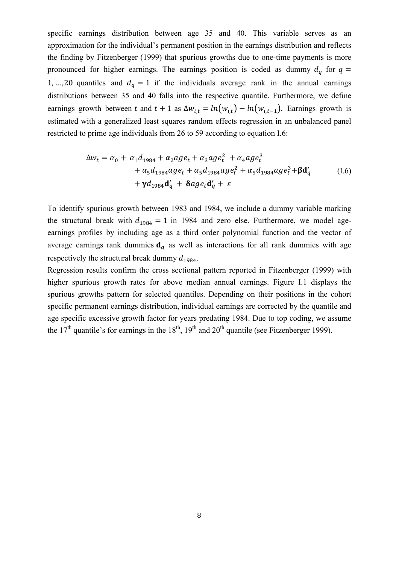specific earnings distribution between age 35 and 40. This variable serves as an approximation for the individual's permanent position in the earnings distribution and reflects the finding by Fitzenberger (1999) that spurious growths due to one-time payments is more pronounced for higher earnings. The earnings position is coded as dummy  $d_q$  for  $q =$ 1, …, 20 quantiles and  $d_q = 1$  if the individuals average rank in the annual earnings distributions between 35 and 40 falls into the respective quantile. Furthermore, we define earnings growth between t and  $t + 1$  as  $\Delta w_{i,t} = ln(w_{i,t}) - ln(w_{i,t-1})$ . Earnings growth is estimated with a generalized least squares random effects regression in an unbalanced panel restricted to prime age individuals from 26 to 59 according to equation I.6:

$$
\Delta w_t = \alpha_0 + \alpha_1 d_{1984} + \alpha_2 a g e_t + \alpha_3 a g e_t^2 + \alpha_4 a g e_t^3 + \alpha_5 d_{1984} a g e_t + \alpha_5 d_{1984} a g e_t^2 + \alpha_5 d_{1984} a g e_t^3 + \beta d'_q
$$
\n(1.6)  
\n+  $\gamma d_{1984} d'_q + \delta a g e_t d'_q + \varepsilon$ 

To identify spurious growth between 1983 and 1984, we include a dummy variable marking the structural break with  $d_{1984} = 1$  in 1984 and zero else. Furthermore, we model ageearnings profiles by including age as a third order polynomial function and the vector of average earnings rank dummies  $\mathbf{d}_a$  as well as interactions for all rank dummies with age respectively the structural break dummy  $d_{1984}$ .

Regression results confirm the cross sectional pattern reported in Fitzenberger (1999) with higher spurious growth rates for above median annual earnings. Figure I.1 displays the spurious growths pattern for selected quantiles. Depending on their positions in the cohort specific permanent earnings distribution, individual earnings are corrected by the quantile and age specific excessive growth factor for years predating 1984. Due to top coding, we assume the  $17<sup>th</sup>$  quantile's for earnings in the  $18<sup>th</sup>$ ,  $19<sup>th</sup>$  and  $20<sup>th</sup>$  quantile (see Fitzenberger 1999).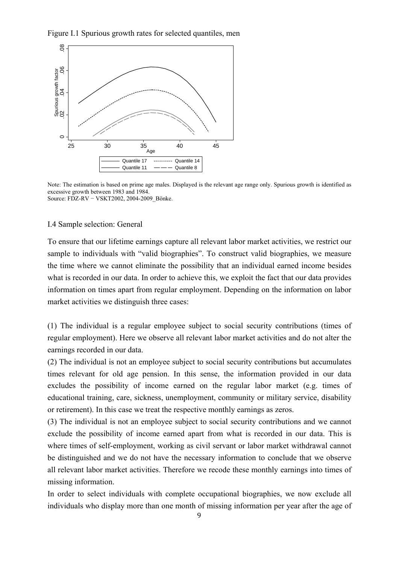Figure I.1 Spurious growth rates for selected quantiles, men



Note: The estimation is based on prime age males. Displayed is the relevant age range only. Spurious growth is identified as excessive growth between 1983 and 1984. Source: FDZ-RV − VSKT2002, 2004-2009\_Bönke.

#### I.4 Sample selection: General

To ensure that our lifetime earnings capture all relevant labor market activities, we restrict our sample to individuals with "valid biographies". To construct valid biographies, we measure the time where we cannot eliminate the possibility that an individual earned income besides what is recorded in our data. In order to achieve this, we exploit the fact that our data provides information on times apart from regular employment. Depending on the information on labor market activities we distinguish three cases:

(1) The individual is a regular employee subject to social security contributions (times of regular employment). Here we observe all relevant labor market activities and do not alter the earnings recorded in our data.

(2) The individual is not an employee subject to social security contributions but accumulates times relevant for old age pension. In this sense, the information provided in our data excludes the possibility of income earned on the regular labor market (e.g. times of educational training, care, sickness, unemployment, community or military service, disability or retirement). In this case we treat the respective monthly earnings as zeros.

(3) The individual is not an employee subject to social security contributions and we cannot exclude the possibility of income earned apart from what is recorded in our data. This is where times of self-employment, working as civil servant or labor market withdrawal cannot be distinguished and we do not have the necessary information to conclude that we observe all relevant labor market activities. Therefore we recode these monthly earnings into times of missing information.

In order to select individuals with complete occupational biographies, we now exclude all individuals who display more than one month of missing information per year after the age of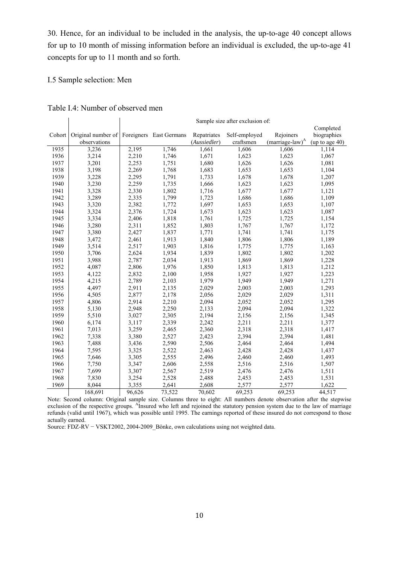30. Hence, for an individual to be included in the analysis, the up-to-age 40 concept allows for up to 10 month of missing information before an individual is excluded, the up-to-age 41 concepts for up to 11 month and so forth.

### I.5 Sample selection: Men

|  |  | Table I.4: Number of observed men |  |
|--|--|-----------------------------------|--|
|--|--|-----------------------------------|--|

|        |                    | Sample size after exclusion of:<br>Completed |                         |              |               |                    |                |  |
|--------|--------------------|----------------------------------------------|-------------------------|--------------|---------------|--------------------|----------------|--|
| Cohort | Original number of |                                              | Foreigners East Germans | Repatriates  | Self-employed | Rejoiners          | biographies    |  |
|        | observations       |                                              |                         | (Aussiedler) | craftsmen     | $(marriage-law)^A$ | (up to age 40) |  |
| 1935   | 3,236              | 2,195                                        | 1,746                   | 1,661        | 1,606         | 1,606              | 1,114          |  |
| 1936   | 3,214              | 2,210                                        | 1,746                   | 1,671        | 1,623         | 1,623              | 1,067          |  |
| 1937   | 3,201              | 2,253                                        | 1,751                   | 1,680        | 1,626         | 1,626              | 1,081          |  |
| 1938   | 3,198              | 2,269                                        | 1,768                   | 1,683        | 1,653         | 1,653              | 1,104          |  |
| 1939   | 3,228              | 2,295                                        | 1,791                   | 1,733        | 1,678         | 1,678              | 1,207          |  |
| 1940   | 3,230              | 2,259                                        | 1,735                   | 1,666        | 1,623         | 1,623              | 1,095          |  |
| 1941   | 3,328              | 2,330                                        | 1,802                   | 1,716        | 1,677         | 1,677              | 1,121          |  |
| 1942   | 3,289              | 2,335                                        | 1,799                   | 1,723        | 1,686         | 1,686              | 1,109          |  |
| 1943   | 3,320              | 2,382                                        | 1,772                   | 1,697        |               |                    | 1,107          |  |
| 1944   |                    |                                              |                         |              | 1,653         | 1,653              |                |  |
|        | 3,324              | 2,376                                        | 1,724                   | 1,673        | 1,623         | 1,623              | 1,087          |  |
| 1945   | 3,334              | 2,406                                        | 1,818                   | 1,761        | 1,725         | 1,725              | 1,154          |  |
| 1946   | 3,280              | 2,311                                        | 1,852                   | 1,803        | 1,767         | 1,767              | 1,172          |  |
| 1947   | 3,380              | 2,427                                        | 1.837                   | 1,771        | 1,741         | 1,741              | 1,175          |  |
| 1948   | 3,472              | 2,461                                        | 1,913                   | 1,840        | 1,806         | 1,806              | 1,189          |  |
| 1949   | 3,514              | 2,517                                        | 1,903                   | 1,816        | 1,775         | 1,775              | 1,163          |  |
| 1950   | 3,706              | 2,624                                        | 1,934                   | 1,839        | 1,802         | 1,802              | 1,202          |  |
| 1951   | 3,988              | 2,787                                        | 2,034                   | 1,913        | 1,869         | 1,869              | 1,228          |  |
| 1952   | 4,087              | 2,806                                        | 1,976                   | 1,850        | 1,813         | 1,813              | 1,212          |  |
| 1953   | 4,122              | 2,832                                        | 2,100                   | 1,958        | 1,927         | 1,927              | 1,223          |  |
| 1954   | 4,215              | 2,789                                        | 2,103                   | 1,979        | 1,949         | 1,949              | 1,271          |  |
| 1955   | 4,497              | 2,911                                        | 2,135                   | 2,029        | 2,003         | 2,003              | 1,293          |  |
| 1956   | 4,505              | 2,877                                        | 2,178                   | 2,056        | 2,029         | 2,029              | 1,311          |  |
| 1957   | 4,806              | 2,914                                        | 2,210                   | 2,094        | 2,052         | 2,052              | 1,295          |  |
| 1958   | 5,130              | 2,948                                        | 2,250                   | 2,133        | 2,094         | 2,094              | 1,322          |  |
| 1959   | 5,510              | 3,027                                        | 2,305                   | 2,194        | 2,156         | 2,156              | 1,345          |  |
| 1960   | 6,174              | 3,117                                        | 2,339                   | 2,242        | 2,211         | 2,211              | 1,377          |  |
| 1961   | 7,013              | 3,259                                        | 2,465                   | 2,360        | 2,318         | 2,318              | 1,417          |  |
| 1962   | 7,338              | 3,380                                        | 2,527                   | 2,423        | 2,394         | 2,394              | 1,481          |  |
| 1963   | 7,488              | 3,436                                        | 2,590                   | 2,506        | 2,464         | 2,464              | 1,494          |  |
| 1964   | 7,595              | 3,325                                        | 2,522                   | 2,463        | 2,428         | 2,428              | 1,437          |  |
| 1965   | 7,646              | 3,305                                        | 2,555                   | 2,496        | 2,460         | 2,460              | 1,493          |  |
| 1966   | 7,750              | 3,347                                        | 2,606                   | 2,558        | 2,516         | 2,516              | 1,507          |  |
| 1967   | 7,699              | 3,307                                        | 2,567                   | 2,519        | 2,476         | 2,476              | 1,511          |  |
| 1968   | 7,830              | 3,254                                        | 2,528                   | 2,488        | 2,453         | 2,453              | 1,531          |  |
| 1969   | 8,044              | 3,355                                        | 2,641                   | 2,608        | 2,577         | 2,577              | 1,622          |  |
|        | 168,691            | 96,626                                       | 73,522                  | 70,602       | 69,253        | 69,253             | 44,517         |  |

Note: Second column: Original sample size. Columns three to eight: All numbers denote observation after the stepwise exclusion of the respective groups. <sup>A</sup>Insured who left and rejoined the statutory pension system due to the law of marriage refunds (valid until 1967), which was possible until 1995. The earnings reported of these insured do not correspond to those actually earned.

Source: FDZ-RV − VSKT2002, 2004-2009\_Bönke, own calculations using not weighted data.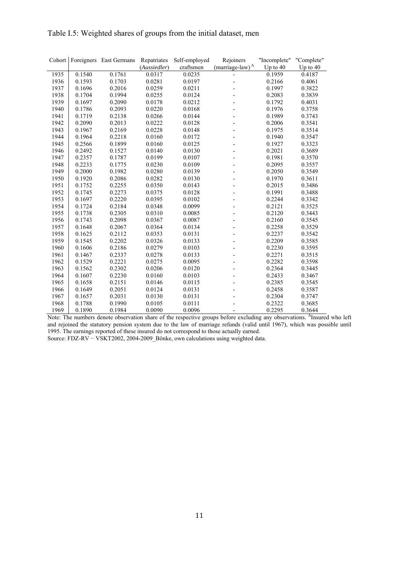|      |        | Cohort Foreigners East Germans | Repatriates  | Self-employed | Rejoiners                   | "Incomplete" "Complete" |          |
|------|--------|--------------------------------|--------------|---------------|-----------------------------|-------------------------|----------|
|      |        |                                | (Aussiedler) | craftsmen     | (marriage-law) <sup>A</sup> | Up to 40                | Up to 40 |
| 1935 | 0.1540 | 0.1761                         | 0.0317       | 0.0235        |                             | 0.1959                  | 0.4187   |
| 1936 | 0.1593 | 0.1703                         | 0.0281       | 0.0197        |                             | 0.2166                  | 0.4061   |
| 1937 | 0.1696 | 0.2016                         | 0.0259       | 0.0211        |                             | 0.1997                  | 0.3822   |
| 1938 | 0.1704 | 0.1994                         | 0.0255       | 0.0124        |                             | 0.2083                  | 0.3839   |
| 1939 | 0.1697 | 0.2090                         | 0.0178       | 0.0212        |                             | 0.1792                  | 0.4031   |
| 1940 | 0.1786 | 0.2093                         | 0.0220       | 0.0168        |                             | 0.1976                  | 0.3758   |
| 1941 | 0.1719 | 0.2138                         | 0.0266       | 0.0144        |                             | 0.1989                  | 0.3743   |
| 1942 | 0.2090 | 0.2013                         | 0.0222       | 0.0128        |                             | 0.2006                  | 0.3541   |
| 1943 | 0.1967 | 0.2169                         | 0.0228       | 0.0148        | $\overline{\phantom{a}}$    | 0.1975                  | 0.3514   |
| 1944 | 0.1964 | 0.2218                         | 0.0160       | 0.0172        |                             | 0.1940                  | 0.3547   |
| 1945 | 0.2566 | 0.1899                         | 0.0160       | 0.0125        |                             | 0.1927                  | 0.3323   |
| 1946 | 0.2492 | 0.1527                         | 0.0140       | 0.0130        |                             | 0.2021                  | 0.3689   |
| 1947 | 0.2357 | 0.1787                         | 0.0199       | 0.0107        |                             | 0.1981                  | 0.3570   |
| 1948 | 0.2233 | 0.1775                         | 0.0230       | 0.0109        |                             | 0.2095                  | 0.3557   |
| 1949 | 0.2000 | 0.1982                         | 0.0280       | 0.0139        |                             | 0.2050                  | 0.3549   |
| 1950 | 0.1920 | 0.2086                         | 0.0282       | 0.0130        |                             | 0.1970                  | 0.3611   |
| 1951 | 0.1752 | 0.2255                         | 0.0350       | 0.0143        |                             | 0.2015                  | 0.3486   |
| 1952 | 0.1745 | 0.2273                         | 0.0375       | 0.0128        |                             | 0.1991                  | 0.3488   |
| 1953 | 0.1697 | 0.2220                         | 0.0395       | 0.0102        |                             | 0.2244                  | 0.3342   |
| 1954 | 0.1724 | 0.2184                         | 0.0348       | 0.0099        |                             | 0.2121                  | 0.3525   |
| 1955 | 0.1738 | 0.2305                         | 0.0310       | 0.0085        |                             | 0.2120                  | 0.3443   |
| 1956 | 0.1743 | 0.2098                         | 0.0367       | 0.0087        |                             | 0.2160                  | 0.3545   |
| 1957 | 0.1648 | 0.2067                         | 0.0364       | 0.0134        |                             | 0.2258                  | 0.3529   |
| 1958 | 0.1625 | 0.2112                         | 0.0353       | 0.0131        |                             | 0.2237                  | 0.3542   |
| 1959 | 0.1545 | 0.2202                         | 0.0326       | 0.0133        |                             | 0.2209                  | 0.3585   |
| 1960 | 0.1606 | 0.2186                         | 0.0279       | 0.0103        |                             | 0.2230                  | 0.3595   |
| 1961 | 0.1467 | 0.2337                         | 0.0278       | 0.0133        |                             | 0.2271                  | 0.3515   |
| 1962 | 0.1529 | 0.2221                         | 0.0275       | 0.0095        |                             | 0.2282                  | 0.3598   |
| 1963 | 0.1562 | 0.2302                         | 0.0206       | 0.0120        |                             | 0.2364                  | 0.3445   |
| 1964 | 0.1607 | 0.2230                         | 0.0160       | 0.0103        |                             | 0.2433                  | 0.3467   |
| 1965 | 0.1658 | 0.2151                         | 0.0146       | 0.0115        |                             | 0.2385                  | 0.3545   |
| 1966 | 0.1649 | 0.2051                         | 0.0124       | 0.0131        |                             | 0.2458                  | 0.3587   |
| 1967 | 0.1657 | 0.2031                         | 0.0130       | 0.0131        |                             | 0.2304                  | 0.3747   |
| 1968 | 0.1788 | 0.1990                         | 0.0105       | 0.0111        |                             | 0.2322                  | 0.3685   |
| 1969 | 0.1890 | 0.1984                         | 0.0090       | 0.0096        |                             | 0.2295                  | 0.3644   |

### Table I.5: Weighted shares of groups from the initial dataset, men

Note: The numbers denote observation share of the respective groups before excluding any observations. AInsured who left and rejoined the statutory pension system due to the law of marriage refunds (valid until 1967), which was possible until 1995. The earnings reported of these insured do not correspond to those actually earned.

Source: FDZ-RV − VSKT2002, 2004-2009\_Bönke, own calculations using weighted data.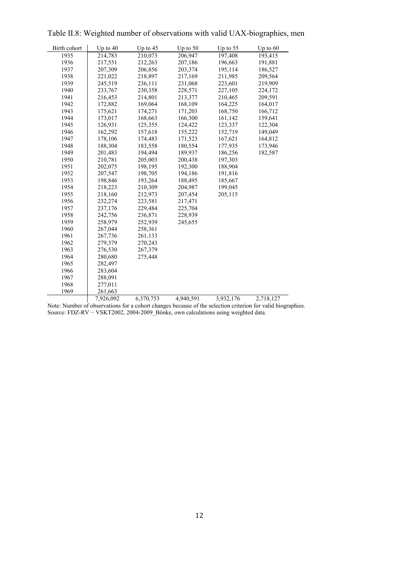| Birth cohort | Up to 40  | Up to $45$ | Up to $50$ | Up to $55$ | Up to $60$ |
|--------------|-----------|------------|------------|------------|------------|
| 1935         | 214,783   | 210,073    | 206,947    | 197,408    | 193,415    |
| 1936         | 217,551   | 212,263    | 207,186    | 196,663    | 191,881    |
| 1937         | 207,309   | 206,856    | 203,374    | 195,114    | 186,527    |
| 1938         | 221,022   | 218,897    | 217,169    | 211,985    | 209,564    |
| 1939         | 245,519   | 236,111    | 231,068    | 223,601    | 219,909    |
| 1940         | 233,767   | 230,358    | 228,571    | 227,105    | 224,172    |
| 1941         | 216,453   | 214,801    | 213,377    | 210,465    | 209,591    |
| 1942         | 172,882   | 169,064    | 168,109    | 164,225    | 164,017    |
| 1943         | 175,621   | 174,271    | 171,203    | 168,750    | 166,712    |
| 1944         | 173,017   | 168,663    | 166,300    | 161,142    | 159,641    |
| 1945         | 126,931   | 125,355    | 124,422    | 123,337    | 122,304    |
| 1946         | 162,292   | 157,618    | 155,222    | 152,719    | 149,049    |
| 1947         | 178,106   | 174,483    | 171,523    | 167,621    | 164,812    |
| 1948         | 188,304   | 183,558    | 180,554    | 177,935    | 173,946    |
| 1949         | 201,483   | 194,494    | 189,937    | 186,256    | 182,587    |
| 1950         | 210,781   | 205,003    | 200,438    | 197,303    |            |
| 1951         | 202,075   | 198,195    | 192,300    | 188,904    |            |
| 1952         | 207,547   | 198,705    | 194,186    | 191,816    |            |
| 1953         | 198,846   | 193,264    | 188,495    | 185,667    |            |
| 1954         | 218,223   | 210,309    | 204,987    | 199,045    |            |
| 1955         | 218,160   | 212,973    | 207,454    | 205,115    |            |
| 1956         | 232,274   | 223,581    | 217,471    |            |            |
| 1957         | 237,176   | 229,484    | 225,704    |            |            |
| 1958         | 242,756   | 236,871    | 228,939    |            |            |
| 1959         | 258,979   | 252,939    | 245,655    |            |            |
| 1960         | 267,044   | 258,361    |            |            |            |
| 1961         | 267,736   | 261,133    |            |            |            |
| 1962         | 279,379   | 270,243    |            |            |            |
| 1963         | 276,530   | 267,379    |            |            |            |
| 1964         | 280,680   | 275,448    |            |            |            |
| 1965         | 282,497   |            |            |            |            |
| 1966         | 283,604   |            |            |            |            |
| 1967         | 288,091   |            |            |            |            |
| 1968         | 277,011   |            |            |            |            |
| 1969         | 261,663   |            |            |            |            |
|              | 7,926,092 | 6,370,753  | 4,940,591  | 3,932,176  | 2,718,127  |

Table II.8: Weighted number of observations with valid UAX-biographies, men

Note: Number of observations for a cohort changes because of the selection criterion for valid biographies. Source: FDZ-RV − VSKT2002, 2004-2009\_Bönke, own calculations using weighted data.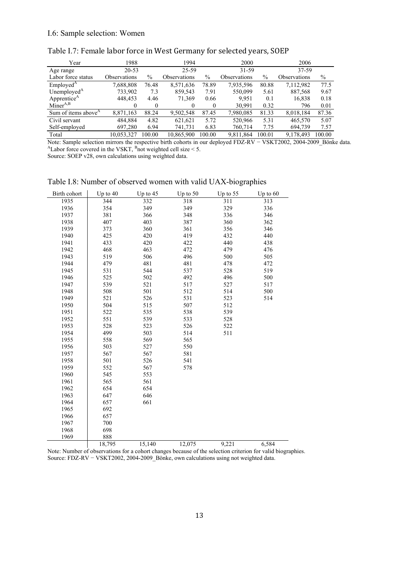| Year                            | 1988                | 1994          |                     | 2000          |                     |               | 2006                       |        |
|---------------------------------|---------------------|---------------|---------------------|---------------|---------------------|---------------|----------------------------|--------|
| Age range                       | $20 - 53$           |               | 25-59<br>31-59      |               |                     | 37-59         |                            |        |
| Labor force status              | <b>Observations</b> | $\frac{0}{0}$ | <b>Observations</b> | $\frac{0}{0}$ | <b>Observations</b> | $\frac{0}{0}$ | <i><b>Observations</b></i> | $\%$   |
| Emploved <sup>A</sup>           | 7,688,808           | 76.48         | 8,571,636           | 78.89         | 7,935,596           | 80.88         | 7,112,982                  | 77.5   |
| Unemployed $A$                  | 733,902             | 7.3           | 859,543             | 7.91          | 550,099             | 5.61          | 887,568                    | 9.67   |
| Apprentice <sup>A</sup>         | 448.453             | 4.46          | 71,369              | 0.66          | 9.951               | 0.1           | 16,838                     | 0.18   |
| $Miner^{A,B}$                   | 0                   | $\theta$      |                     |               | 30.991              | 0.32          | 796                        | 0.01   |
| Sum of items above <sup>A</sup> | 8,871,163           | 88.24         | 9,502,548           | 87.45         | 7,980,085           | 81.33         | 8,018,184                  | 87.36  |
| Civil servant                   | 484.884             | 4.82          | 621,621             | 5.72          | 520,966             | 5.31          | 465,570                    | 5.07   |
| Self-employed                   | 697,280             | 6.94          | 741,731             | 6.83          | 760,714             | 7.75          | 694.739                    | 7.57   |
| Total                           | 10.053.327          | 100.00        | 10.865.900          | 100.00        | 9.811.864           | 100.01        | 9.178.493                  | 100.00 |

### Table I.7: Female labor force in West Germany for selected years, SOEP

Note: Sample selection mirrors the respective birth cohorts in our deployed FDZ-RV − VSKT2002, 2004-2009\_Bönke data. <sup>A</sup>Labor force covered in the VSKT, <sup>B</sup>not weighted cell size < 5.

Source: SOEP v28, own calculations using weighted data.

| Birth cohort | Up to $40$ | Up to $45$ | Up to 50 | Up to $55$ | Up to $60$ |
|--------------|------------|------------|----------|------------|------------|
| 1935         | 344        | 332        | 318      | 311        | 313        |
| 1936         | 354        | 349        | 349      | 329        | 336        |
| 1937         | 381        | 366        | 348      | 336        | 346        |
| 1938         | 407        | 403        | 387      | 360        | 362        |
| 1939         | 373        | 360        | 361      | 356        | 346        |
| 1940         | 425        | 420        | 419      | 432        | 440        |
| 1941         | 433        | 420        | 422      | 440        | 438        |
| 1942         | 468        | 463        | 472      | 479        | 476        |
| 1943         | 519        | 506        | 496      | 500        | 505        |
| 1944         | 479        | 481        | 481      | 478        | 472        |
| 1945         | 531        | 544        | 537      | 528        | 519        |
| 1946         | 525        | 502        | 492      | 496        | 500        |
| 1947         | 539        | 521        | 517      | 527        | 517        |
| 1948         | 508        | 501        | 512      | 514        | 500        |
| 1949         | 521        | 526        | 531      | 523        | 514        |
| 1950         | 504        | 515        | 507      | 512        |            |
| 1951         | 522        | 535        | 538      | 539        |            |
| 1952         | 551        | 539        | 533      | 528        |            |
| 1953         | 528        | 523        | 526      | 522        |            |
| 1954         | 499        | 503        | 514      | 511        |            |
| 1955         | 558        | 569        | 565      |            |            |
| 1956         | 503        | 527        | 550      |            |            |
| 1957         | 567        | 567        | 581      |            |            |
| 1958         | 501        | 526        | 541      |            |            |
| 1959         | 552        | 567        | 578      |            |            |
| 1960         | 545        | 553        |          |            |            |
| 1961         | 565        | 561        |          |            |            |
| 1962         | 654        | 654        |          |            |            |
| 1963         | 647        | 646        |          |            |            |
| 1964         | 657        | 661        |          |            |            |
| 1965         | 692        |            |          |            |            |
| 1966         | 657        |            |          |            |            |
| 1967         | 700        |            |          |            |            |
| 1968         | 698        |            |          |            |            |
| 1969         | 888        |            |          |            |            |
|              | 18,795     | 15,140     | 12,075   | 9,221      | 6,584      |

Table I.8: Number of observed women with valid UAX-biographies

Note: Number of observations for a cohort changes because of the selection criterion for valid biographies. Source: FDZ-RV − VSKT2002, 2004-2009\_Bönke, own calculations using not weighted data.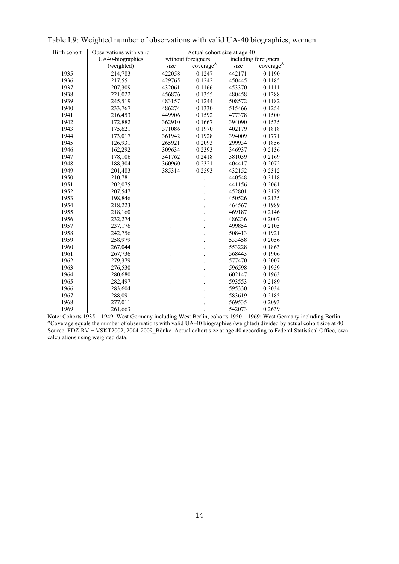| Birth cohort | Observations with valid | Actual cohort size at age 40 |                       |        |                       |  |
|--------------|-------------------------|------------------------------|-----------------------|--------|-----------------------|--|
|              | UA40-biographies        |                              | without foreigners    |        | including foreigners  |  |
|              | (weighted)              | size                         | coverage <sup>A</sup> | size   | coverage <sup>A</sup> |  |
| 1935         | 214,783                 | 422058                       | 0.1247                | 442171 | 0.1190                |  |
| 1936         | 217,551                 | 429765                       | 0.1242                | 450445 | 0.1185                |  |
| 1937         | 207,309                 | 432061                       | 0.1166                | 453370 | 0.1111                |  |
| 1938         | 221,022                 | 456876                       | 0.1355                | 480458 | 0.1288                |  |
| 1939         | 245,519                 | 483157                       | 0.1244                | 508572 | 0.1182                |  |
| 1940         | 233,767                 | 486274                       | 0.1330                | 515466 | 0.1254                |  |
| 1941         | 216,453                 | 449906                       | 0.1592                | 477378 | 0.1500                |  |
| 1942         | 172,882                 | 362910                       | 0.1667                | 394090 | 0.1535                |  |
| 1943         | 175,621                 | 371086                       | 0.1970                | 402179 | 0.1818                |  |
| 1944         | 173,017                 | 361942                       | 0.1928                | 394009 | 0.1771                |  |
| 1945         | 126,931                 | 265921                       | 0.2093                | 299934 | 0.1856                |  |
| 1946         | 162,292                 | 309634                       | 0.2393                | 346937 | 0.2136                |  |
| 1947         | 178,106                 | 341762                       | 0.2418                | 381039 | 0.2169                |  |
| 1948         | 188,304                 | 360960                       | 0.2321                | 404417 | 0.2072                |  |
| 1949         | 201,483                 | 385314                       | 0.2593                | 432152 | 0.2312                |  |
| 1950         | 210,781                 |                              |                       | 440548 | 0.2118                |  |
| 1951         | 202,075                 |                              |                       | 441156 | 0.2061                |  |
| 1952         | 207,547                 |                              |                       | 452801 | 0.2179                |  |
| 1953         | 198,846                 |                              |                       | 450526 | 0.2135                |  |
| 1954         | 218,223                 |                              |                       | 464567 | 0.1989                |  |
| 1955         | 218,160                 |                              |                       | 469187 | 0.2146                |  |
| 1956         | 232,274                 |                              |                       | 486236 | 0.2007                |  |
| 1957         | 237,176                 |                              |                       | 499854 | 0.2105                |  |
| 1958         | 242,756                 |                              |                       | 508413 | 0.1921                |  |
| 1959         | 258,979                 |                              |                       | 533458 | 0.2056                |  |
| 1960         | 267,044                 |                              |                       | 553228 | 0.1863                |  |
| 1961         | 267,736                 |                              |                       | 568443 | 0.1906                |  |
| 1962         | 279,379                 |                              |                       | 577470 | 0.2007                |  |
| 1963         | 276,530                 |                              |                       | 596598 | 0.1959                |  |
| 1964         | 280,680                 |                              |                       | 602147 | 0.1963                |  |
| 1965         | 282,497                 |                              |                       | 593553 | 0.2189                |  |
| 1966         | 283,604                 |                              |                       | 595330 | 0.2034                |  |
| 1967         | 288,091                 |                              |                       | 583619 | 0.2185                |  |
| 1968         | 277,011                 |                              |                       | 569535 | 0.2093                |  |
| 1969         | 261,663                 |                              |                       | 542073 | 0.2639                |  |

Table I.9: Weighted number of observations with valid UA-40 biographies, women

Note: Cohorts 1935 – 1949: West Germany including West Berlin, cohorts 1950 – 1969: West Germany including Berlin.<br><sup>A</sup>Coverage equals the number of observations with valid UA-40 biographies (weighted) divided by actual coh Source: FDZ-RV − VSKT2002, 2004-2009\_Bönke. Actual cohort size at age 40 according to Federal Statistical Office, own calculations using weighted data.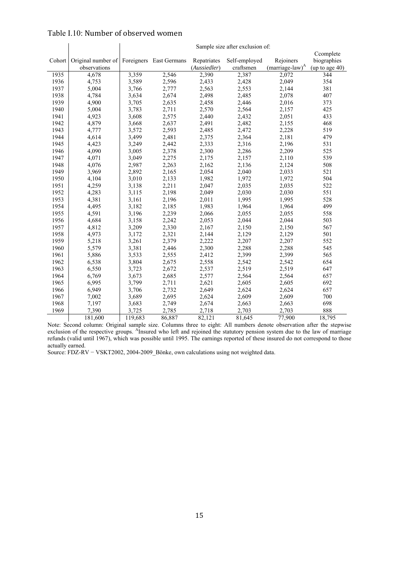| Cohort | Original number of Foreigners East Germans |                |                | Repatriates  | Self-employed | Rejoiners                   | Ccomplete<br>biographies |
|--------|--------------------------------------------|----------------|----------------|--------------|---------------|-----------------------------|--------------------------|
|        | observations                               |                |                | (Aussiedler) | craftsmen     | (marriage-law) <sup>A</sup> | (up to age $40$ )        |
| 1935   | 4,678                                      | 3,359          | 2,546          | 2,390        | 2,387         | 2,072                       | 344                      |
| 1936   | 4,753                                      | 3,589          | 2,596          | 2,433        | 2,428         | 2,049                       | 354                      |
| 1937   | 5,004                                      | 3,766          | 2,777          | 2,563        | 2,553         | 2,144                       | 381                      |
| 1938   | 4,784                                      | 3,634          | 2,674          | 2,498        | 2,485         | 2,078                       | 407                      |
| 1939   | 4,900                                      | 3,705          | 2,635          | 2,458        | 2,446         | 2,016                       | 373                      |
| 1940   | 5,004                                      | 3,783          | 2,711          | 2,570        | 2,564         | 2,157                       | 425                      |
| 1941   | 4,923                                      | 3,608          | 2,575          | 2,440        | 2,432         | 2,051                       | 433                      |
| 1942   | 4,879                                      | 3,668          | 2,637          | 2,491        | 2,482         | 2,155                       | 468                      |
| 1943   | 4,777                                      | 3,572          | 2,593          | 2,485        | 2,472         | 2,228                       | 519                      |
| 1944   | 4,614                                      | 3,499          | 2,481          | 2,375        | 2,364         | 2,181                       | 479                      |
| 1945   | 4,423                                      | 3,249          | 2,442          | 2,333        | 2,316         | 2,196                       | 531                      |
| 1946   | 4,090                                      | 3,005          | 2,378          | 2,300        | 2,286         | 2,209                       | 525                      |
| 1947   | 4,071                                      | 3,049          | 2,275          | 2,175        | 2,157         | 2,110                       | 539                      |
| 1948   | 4,076                                      | 2,987          | 2,263          | 2,162        | 2,136         | 2,124                       | 508                      |
| 1949   | 3,969                                      | 2,892          | 2,165          | 2,054        | 2,040         | 2,033                       | 521                      |
| 1950   | 4,104                                      | 3,010          | 2,133          | 1,982        | 1,972         | 1,972                       | 504                      |
| 1951   | 4,259                                      | 3,138          | 2,211          | 2,047        | 2,035         | 2,035                       | 522                      |
| 1952   | 4,283                                      | 3,115          | 2,198          | 2,049        | 2,030         | 2,030                       | 551                      |
| 1953   | 4,381                                      | 3,161          | 2,196          | 2,011        | 1,995         | 1,995                       | 528                      |
| 1954   | 4,495                                      | 3,182          | 2,185          | 1,983        | 1,964         | 1,964                       | 499                      |
| 1955   | 4,591                                      | 3,196          | 2,239          | 2,066        | 2,055         | 2,055                       | 558                      |
| 1956   | 4,684                                      | 3,158          | 2,242          | 2,053        | 2,044         | 2,044                       | 503                      |
| 1957   | 4,812                                      | 3,209          | 2,330          | 2,167        | 2,150         | 2,150                       | 567                      |
| 1958   | 4,973                                      | 3,172          | 2,321          | 2,144        | 2,129         | 2,129                       | 501                      |
| 1959   | 5,218                                      | 3,261          | 2,379          | 2,222        | 2,207         | 2,207                       | 552                      |
| 1960   | 5,579                                      | 3,381          | 2,446          | 2,300        | 2,288         | 2,288                       | 545                      |
| 1961   | 5,886                                      | 3,533          | 2,555          | 2,412        | 2,399         | 2,399                       | 565                      |
| 1962   | 6,538                                      | 3,804          | 2,675          | 2,558        | 2,542         | 2,542                       | 654                      |
| 1963   | 6,550                                      | 3,723          | 2,672          | 2,537        | 2,519         | 2,519                       | 647                      |
| 1964   | 6,769                                      | 3,673          | 2,685          | 2,577        | 2,564         | 2,564                       | 657                      |
| 1965   | 6,995                                      | 3,799          | 2,711          | 2,621        | 2,605         | 2,605                       | 692                      |
| 1966   | 6,949                                      | 3,706          | 2,732          | 2,649        | 2,624         | 2,624                       | 657                      |
| 1967   |                                            |                |                | 2,624        | 2,609         |                             | 700                      |
| 1968   | 7,002<br>7,197                             | 3,689<br>3,683 | 2,695<br>2,749 | 2,674        | 2,663         | 2,609<br>2,663              | 698                      |
| 1969   | 7,390                                      | 3,725          | 2,785          | 2,718        | 2,703         | 2,703                       | 888                      |
|        | 181.600                                    | 119,683        | 86,887         | 82,121       | 81.645        | 77.900                      | 18,795                   |
|        |                                            |                |                |              |               |                             |                          |

### Table I.10: Number of observed women

#### Sample size after exclusion of:

Note: Second column: Original sample size. Columns three to eight: All numbers denote observation after the stepwise exclusion of the respective groups. <sup>A</sup>Insured who left and rejoined the statutory pension system due to the law of marriage refunds (valid until 1967), which was possible until 1995. The earnings reported of these insured do not correspond to those actually earned.

Source: FDZ-RV − VSKT2002, 2004-2009\_Bönke, own calculations using not weighted data.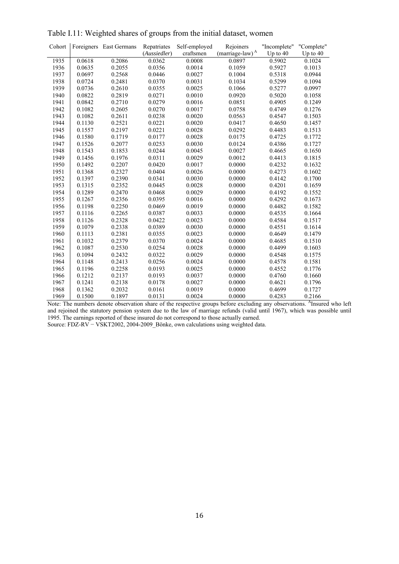| Cohort |        | Foreigners East Germans | Repatriates            | Self-employed       | Rejoiners                             | "Incomplete"         | "Complete"         |
|--------|--------|-------------------------|------------------------|---------------------|---------------------------------------|----------------------|--------------------|
| 1935   | 0.0618 | 0.2086                  | (Aussiedler)<br>0.0362 | craftsmen<br>0.0008 | (marriage-law) <sup>A</sup><br>0.0897 | Up to $40$<br>0.5902 | Up to 40<br>0.1024 |
| 1936   | 0.0635 | 0.2055                  | 0.0356                 | 0.0014              | 0.1059                                | 0.5927               | 0.1013             |
|        |        |                         |                        | 0.0027              |                                       |                      | 0.0944             |
| 1937   | 0.0697 | 0.2568                  | 0.0446                 |                     | 0.1004                                | 0.5318               |                    |
| 1938   | 0.0724 | 0.2481                  | 0.0370                 | 0.0031              | 0.1034                                | 0.5299               | 0.1094             |
| 1939   | 0.0736 | 0.2610                  | 0.0355                 | 0.0025              | 0.1066                                | 0.5277               | 0.0997             |
| 1940   | 0.0822 | 0.2819                  | 0.0271                 | 0.0010              | 0.0920                                | 0.5020               | 0.1058             |
| 1941   | 0.0842 | 0.2710                  | 0.0279                 | 0.0016              | 0.0851                                | 0.4905               | 0.1249             |
| 1942   | 0.1082 | 0.2605                  | 0.0270                 | 0.0017              | 0.0758                                | 0.4749               | 0.1276             |
| 1943   | 0.1082 | 0.2611                  | 0.0238                 | 0.0020              | 0.0563                                | 0.4547               | 0.1503             |
| 1944   | 0.1130 | 0.2521                  | 0.0221                 | 0.0020              | 0.0417                                | 0.4650               | 0.1457             |
| 1945   | 0.1557 | 0.2197                  | 0.0221                 | 0.0028              | 0.0292                                | 0.4483               | 0.1513             |
| 1946   | 0.1580 | 0.1719                  | 0.0177                 | 0.0028              | 0.0175                                | 0.4725               | 0.1772             |
| 1947   | 0.1526 | 0.2077                  | 0.0253                 | 0.0030              | 0.0124                                | 0.4386               | 0.1727             |
| 1948   | 0.1543 | 0.1853                  | 0.0244                 | 0.0045              | 0.0027                                | 0.4665               | 0.1650             |
| 1949   | 0.1456 | 0.1976                  | 0.0311                 | 0.0029              | 0.0012                                | 0.4413               | 0.1815             |
| 1950   | 0.1492 | 0.2207                  | 0.0420                 | 0.0017              | 0.0000                                | 0.4232               | 0.1632             |
| 1951   | 0.1368 | 0.2327                  | 0.0404                 | 0.0026              | 0.0000                                | 0.4273               | 0.1602             |
| 1952   | 0.1397 | 0.2390                  | 0.0341                 | 0.0030              | 0.0000                                | 0.4142               | 0.1700             |
| 1953   | 0.1315 | 0.2352                  | 0.0445                 | 0.0028              | 0.0000                                | 0.4201               | 0.1659             |
| 1954   | 0.1289 | 0.2470                  | 0.0468                 | 0.0029              | 0.0000                                | 0.4192               | 0.1552             |
| 1955   | 0.1267 | 0.2356                  | 0.0395                 | 0.0016              | 0.0000                                | 0.4292               | 0.1673             |
| 1956   | 0.1198 | 0.2250                  | 0.0469                 | 0.0019              | 0.0000                                | 0.4482               | 0.1582             |
| 1957   | 0.1116 | 0.2265                  | 0.0387                 | 0.0033              | 0.0000                                | 0.4535               | 0.1664             |
| 1958   | 0.1126 | 0.2328                  | 0.0422                 | 0.0023              | 0.0000                                | 0.4584               | 0.1517             |
| 1959   | 0.1079 | 0.2338                  | 0.0389                 | 0.0030              | 0.0000                                | 0.4551               | 0.1614             |
| 1960   | 0.1113 | 0.2381                  | 0.0355                 | 0.0023              | 0.0000                                | 0.4649               | 0.1479             |
| 1961   | 0.1032 | 0.2379                  | 0.0370                 | 0.0024              | 0.0000                                | 0.4685               | 0.1510             |
| 1962   | 0.1087 | 0.2530                  | 0.0254                 | 0.0028              | 0.0000                                | 0.4499               | 0.1603             |
| 1963   | 0.1094 | 0.2432                  | 0.0322                 | 0.0029              | 0.0000                                | 0.4548               | 0.1575             |
| 1964   | 0.1148 | 0.2413                  | 0.0256                 | 0.0024              | 0.0000                                | 0.4578               | 0.1581             |
| 1965   | 0.1196 | 0.2258                  | 0.0193                 | 0.0025              | 0.0000                                | 0.4552               | 0.1776             |
| 1966   | 0.1212 | 0.2137                  | 0.0193                 | 0.0037              | 0.0000                                | 0.4760               | 0.1660             |
| 1967   | 0.1241 | 0.2138                  | 0.0178                 | 0.0027              | 0.0000                                | 0.4621               | 0.1796             |
| 1968   | 0.1362 | 0.2032                  | 0.0161                 | 0.0019              | 0.0000                                | 0.4699               | 0.1727             |
| 1969   | 0.1500 | 0.1897                  | 0.0131                 | 0.0024              | 0.0000                                | 0.4283               | 0.2166             |

Table I.11: Weighted shares of groups from the initial dataset, women

Note: The numbers denote observation share of the respective groups before excluding any observations. <sup>A</sup>Insured who left and rejoined the statutory pension system due to the law of marriage refunds (valid until 1967), which was possible until 1995. The earnings reported of these insured do not correspond to those actually earned.

Source: FDZ-RV − VSKT2002, 2004-2009\_Bönke, own calculations using weighted data.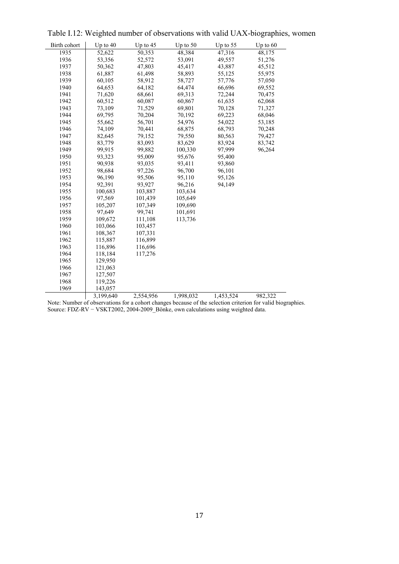| Birth cohort | Up to 40  | Up to $45$ | Up to $50$       | Up to $55$ | Up to $60$      |
|--------------|-----------|------------|------------------|------------|-----------------|
| 1935         | 52,622    | 50,353     | 48,384           | 47,316     | 48,175          |
| 1936         | 53,356    | 52,572     | 53,091           | 49,557     | 51,276          |
| 1937         | 50,362    | 47,803     | 45,417           | 43,887     | 45,512          |
| 1938         | 61,887    | 61,498     | 58,893           | 55,125     | 55,975          |
| 1939         | 60,105    | 58,912     | 58,727           | 57,776     | 57,050          |
| 1940         | 64,653    | 64,182     | 64,474           | 66,696     | 69,552          |
| 1941         | 71,620    | 68,661     | 69,313           | 72,244     | 70,475          |
| 1942         | 60,512    | 60,087     | 60,867           | 61,635     | 62,068          |
| 1943         | 73,109    | 71,529     | 69,801           | 70,128     | 71,327          |
| 1944         | 69,795    | 70,204     | 70,192           | 69,223     | 68,046          |
| 1945         | 55,662    | 56,701     | 54,976           | 54,022     | 53,185          |
| 1946         | 74,109    | 70,441     | 68,875           | 68,793     | 70,248          |
| 1947         | 82,645    | 79,152     | 79,550           | 80,563     | 79,427          |
| 1948         | 83,779    | 83,093     | 83,629           | 83,924     | 83,742          |
| 1949         | 99,915    | 99,882     | 100,330          | 97,999     | 96,264          |
| 1950         | 93,323    | 95,009     | 95,676           | 95,400     |                 |
| 1951         | 90,938    | 93,035     | 93,411           | 93,860     |                 |
| 1952         | 98,684    | 97,226     | 96,700           | 96,101     |                 |
| 1953         | 96,190    | 95,506     | 95,110           | 95,126     |                 |
| 1954         | 92,391    | 93,927     | 96,216           | 94,149     |                 |
| 1955         | 100,683   | 103,887    | 103,634          |            |                 |
| 1956         | 97,569    | 101,439    | 105,649          |            |                 |
| 1957         | 105,207   | 107,349    | 109,690          |            |                 |
| 1958         | 97,649    | 99,741     | 101,691          |            |                 |
| 1959         | 109,672   | 111,108    | 113,736          |            |                 |
| 1960         | 103,066   | 103,457    |                  |            |                 |
| 1961         | 108,367   | 107,331    |                  |            |                 |
| 1962         | 115,887   | 116,899    |                  |            |                 |
| 1963         | 116,896   | 116,696    |                  |            |                 |
| 1964         | 118,184   | 117,276    |                  |            |                 |
| 1965         | 129,950   |            |                  |            |                 |
| 1966         | 121,063   |            |                  |            |                 |
| 1967         | 127,507   |            |                  |            |                 |
| 1968         | 119,226   |            |                  |            |                 |
| 1969         | 143,057   |            |                  |            |                 |
|              | 3,199,640 | 2,554,956  | 1,998,032<br>0.1 | 1,453,524  | 982,322<br>1:11 |

Table I.12: Weighted number of observations with valid UAX-biographies, women

Note: Number of observations for a cohort changes because of the selection criterion for valid biographies. Source: FDZ-RV − VSKT2002, 2004-2009\_Bönke, own calculations using weighted data.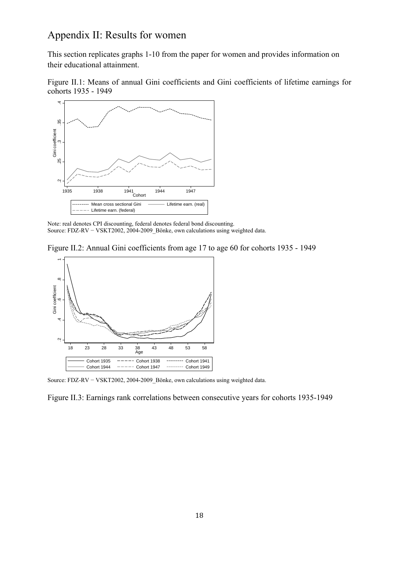### Appendix II: Results for women

This section replicates graphs 1-10 from the paper for women and provides information on their educational attainment.

Figure II.1: Means of annual Gini coefficients and Gini coefficients of lifetime earnings for cohorts 1935 - 1949



Note: real denotes CPI discounting, federal denotes federal bond discounting. Source: FDZ-RV − VSKT2002, 2004-2009\_Bönke, own calculations using weighted data.

Figure II.2: Annual Gini coefficients from age 17 to age 60 for cohorts 1935 - 1949



Source: FDZ-RV − VSKT2002, 2004-2009\_Bönke, own calculations using weighted data.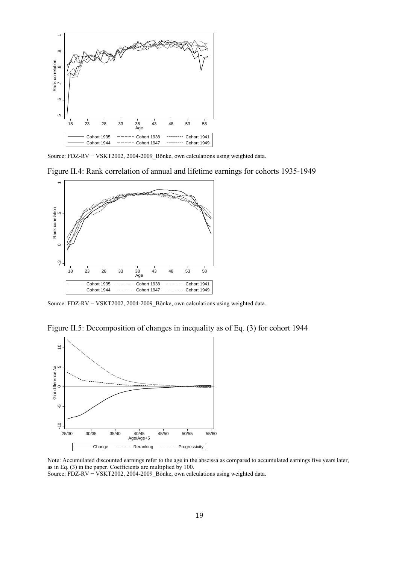

Source: FDZ-RV − VSKT2002, 2004-2009\_Bönke, own calculations using weighted data.

Figure II.4: Rank correlation of annual and lifetime earnings for cohorts 1935-1949



Source: FDZ-RV − VSKT2002, 2004-2009\_Bönke, own calculations using weighted data.

Figure II.5: Decomposition of changes in inequality as of Eq. (3) for cohort 1944



Note: Accumulated discounted earnings refer to the age in the abscissa as compared to accumulated earnings five years later, as in Eq. (3) in the paper. Coefficients are multiplied by 100.<br>Source:  $FDZ-RV - VSKT2002, 2004-2009$  Bönke, own calculations using weighted data.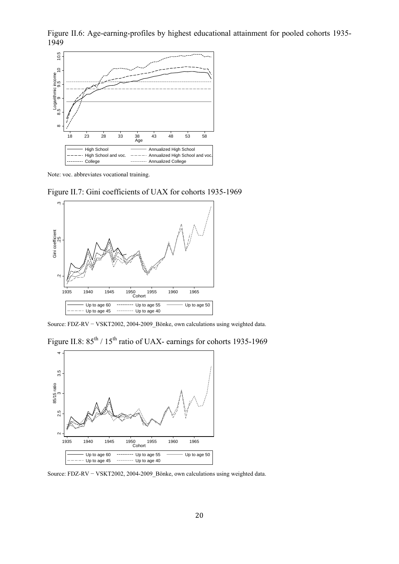Figure II.6: Age-earning-profiles by highest educational attainment for pooled cohorts 1935- 1949



Note: voc. abbreviates vocational training.

Figure II.7: Gini coefficients of UAX for cohorts 1935-1969



Source: FDZ-RV − VSKT2002, 2004-2009\_Bönke, own calculations using weighted data.

Figure II.8:  $85^{th}$  /  $15^{th}$  ratio of UAX- earnings for cohorts 1935-1969



Source: FDZ-RV − VSKT2002, 2004-2009\_Bönke, own calculations using weighted data.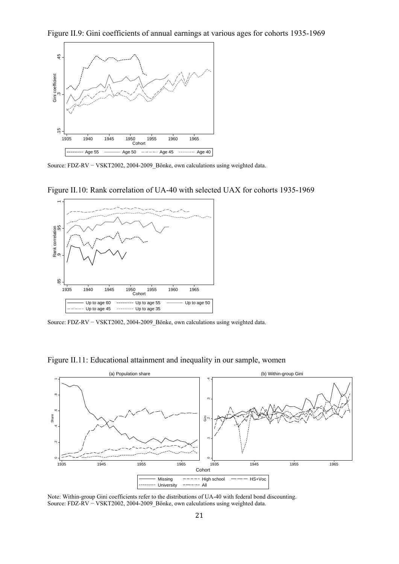

Source: FDZ-RV − VSKT2002, 2004-2009\_Bönke, own calculations using weighted data.



Figure II.10: Rank correlation of UA-40 with selected UAX for cohorts 1935-1969

Source: FDZ-RV − VSKT2002, 2004-2009\_Bönke, own calculations using weighted data.



Figure II.11: Educational attainment and inequality in our sample, women

Note: Within-group Gini coefficients refer to the distributions of UA-40 with federal bond discounting.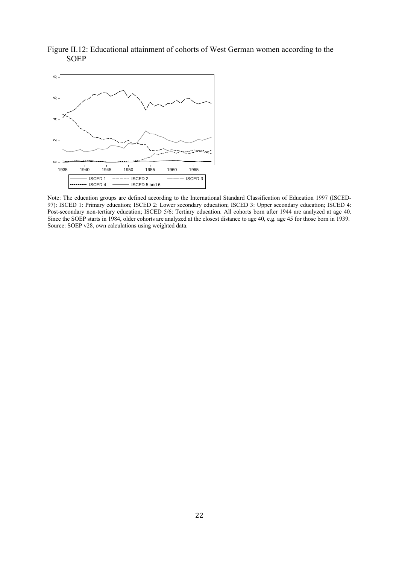Figure II.12: Educational attainment of cohorts of West German women according to the **SOEP** 



Note: The education groups are defined according to the International Standard Classification of Education 1997 (ISCED-97): ISCED 1: Primary education; ISCED 2: Lower secondary education; ISCED 3: Upper secondary education; ISCED 4: Post-secondary non-tertiary education; ISCED 5/6: Tertiary education. All cohorts born after 1944 are analyzed at age 40. Since the SOEP starts in 1984, older cohorts are analyzed at the closest distance to age 40, e.g. age 45 for those born in 1939. Source: SOEP v28, own calculations using weighted data.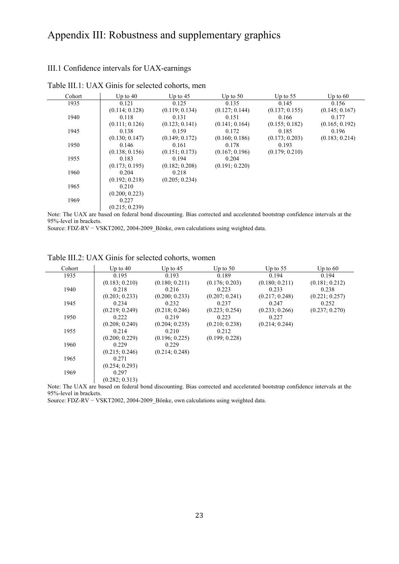# Appendix III: Robustness and supplementary graphics

### III.1 Confidence intervals for UAX-earnings

| Cohort                                                                                                                 | Up to $40$     | Up to $45$     | Up to $50$     | Up to $55$     | Up to $60$     |
|------------------------------------------------------------------------------------------------------------------------|----------------|----------------|----------------|----------------|----------------|
| 1935                                                                                                                   | 0.121          | 0.125          | 0.135          | 0.145          | 0.156          |
|                                                                                                                        | (0.114; 0.128) | (0.119; 0.134) | (0.127; 0.144) | (0.137; 0.155) | (0.145; 0.167) |
| 1940                                                                                                                   | 0.118          | 0.131          | 0.151          | 0.166          | 0.177          |
|                                                                                                                        | (0.111; 0.126) | (0.123; 0.141) | (0.141; 0.164) | (0.155; 0.182) | (0.165; 0.192) |
| 1945                                                                                                                   | 0.138          | 0.159          | 0.172          | 0.185          | 0.196          |
|                                                                                                                        | (0.130; 0.147) | (0.149; 0.172) | (0.160; 0.186) | (0.173; 0.203) | (0.183; 0.214) |
| 1950                                                                                                                   | 0.146          | 0.161          | 0.178          | 0.193          |                |
|                                                                                                                        | (0.138; 0.156) | (0.151; 0.173) | (0.167; 0.196) | (0.179; 0.210) |                |
| 1955                                                                                                                   | 0.183          | 0.194          | 0.204          |                |                |
|                                                                                                                        | (0.173; 0.195) | (0.182; 0.208) | (0.191; 0.220) |                |                |
| 1960                                                                                                                   | 0.204          | 0.218          |                |                |                |
|                                                                                                                        | (0.192; 0.218) | (0.205; 0.234) |                |                |                |
| 1965                                                                                                                   | 0.210          |                |                |                |                |
|                                                                                                                        | (0.200; 0.223) |                |                |                |                |
| 1969                                                                                                                   | 0.227          |                |                |                |                |
|                                                                                                                        | (0.215; 0.239) |                |                |                |                |
| Mater The HAV and head on Calcul Land discounting. Disc computed and coordinated hosteting confidence internals of the |                |                |                |                |                |

Table III.1: UAX Ginis for selected cohorts, men

Note: The UAX are based on federal bond discounting. Bias corrected and accelerated bootstrap confidence intervals at the 95%-level in brackets.

Source: FDZ-RV − VSKT2002, 2004-2009\_Bönke, own calculations using weighted data.

| Cohort | Up to $40$     | Up to $45$     | Up to $50$                    | Up to $55$     | Up to $60$     |
|--------|----------------|----------------|-------------------------------|----------------|----------------|
| 1935   | 0.195          | 0.193          | 0.189                         | 0.194          | 0.194          |
|        | (0.183; 0.210) | (0.180; 0.211) | (0.176; 0.203)                | (0.180; 0.211) | (0.181; 0.212) |
| 1940   | 0.218          | 0.216          | 0.223                         | 0.233          | 0.238          |
|        | (0.203; 0.233) | (0.200; 0.233) | (0.207; 0.241)                | (0.217; 0.248) | (0.221; 0.257) |
| 1945   | 0.234          | 0.232          | 0.237                         | 0.247          | 0.252          |
|        | (0.219; 0.249) | (0.218; 0.246) | (0.223; 0.254)                | (0.233; 0.266) | (0.237; 0.270) |
| 1950   | 0.222          | 0.219          | 0.223                         | 0.227          |                |
|        | (0.208; 0.240) | (0.204; 0.235) | (0.210; 0.238)                | (0.214; 0.244) |                |
| 1955   | 0.214          | 0.210          | 0.212                         |                |                |
|        | (0.200; 0.229) | (0.196; 0.225) | (0.199; 0.228)                |                |                |
| 1960   | 0.229          | 0.229          |                               |                |                |
|        | (0.215; 0.246) | (0.214; 0.248) |                               |                |                |
| 1965   | 0.271          |                |                               |                |                |
|        | (0.254; 0.293) |                |                               |                |                |
| 1969   | 0.297          |                |                               |                |                |
|        | (0.282; 0.313) |                |                               |                |                |
|        |                | $\cdots$       | $\sim$ 1 1 1 $\sim$ 11 $\sim$ |                |                |

Table III.2: UAX Ginis for selected cohorts, women

Note: The UAX are based on federal bond discounting. Bias corrected and accelerated bootstrap confidence intervals at the 95%-level in brackets.

Source: FDZ-RV − VSKT2002, 2004-2009\_Bönke, own calculations using weighted data.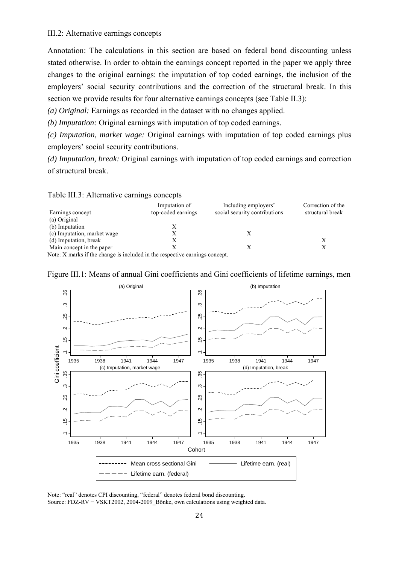### III.2: Alternative earnings concepts

Annotation: The calculations in this section are based on federal bond discounting unless stated otherwise. In order to obtain the earnings concept reported in the paper we apply three changes to the original earnings: the imputation of top coded earnings, the inclusion of the employers' social security contributions and the correction of the structural break. In this section we provide results for four alternative earnings concepts (see Table II.3):

*(a) Original:* Earnings as recorded in the dataset with no changes applied.

*(b) Imputation:* Original earnings with imputation of top coded earnings.

*(c) Imputation, market wage:* Original earnings with imputation of top coded earnings plus employers' social security contributions.

*(d) Imputation, break:* Original earnings with imputation of top coded earnings and correction of structural break.

### Table III.3: Alternative earnings concepts

| Earnings concept            | Imputation of<br>top-coded earnings | Including employers'<br>social security contributions | Correction of the<br>structural break |
|-----------------------------|-------------------------------------|-------------------------------------------------------|---------------------------------------|
| (a) Original                |                                     |                                                       |                                       |
| (b) Imputation              |                                     |                                                       |                                       |
| (c) Imputation, market wage |                                     |                                                       |                                       |
| (d) Imputation, break       | Х                                   |                                                       |                                       |
| Main concept in the paper   |                                     |                                                       |                                       |

Note: X marks if the change is included in the respective earnings concept.



### Figure III.1: Means of annual Gini coefficients and Gini coefficients of lifetime earnings, men

Note: "real" denotes CPI discounting, "federal" denotes federal bond discounting.<br>Source: FDZ-RV – VSKT2002, 2004-2009 Bönke, own calculations using weighted data.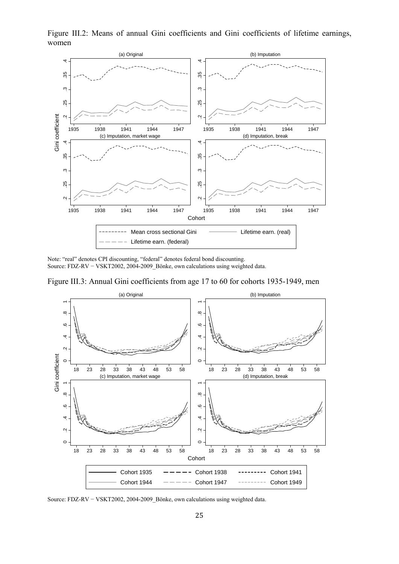1935 1938 1941 1944 1947 (a) Original .2 .25 .3 .35 .4 1935 1938 1941 1944 1947 (b) Imputation .2 .25 .3 .35 .4 1935 1938 1941 1944 1947 (c) Imputation, market wage .2 .25 .3 .35 .4 1935 1938 1941 1944 1947 (d) Imputation, break Gini coefficient **Cohort** 

Figure III.2: Means of annual Gini coefficients and Gini coefficients of lifetime earnings, women

Note: "real" denotes CPI discounting, "federal" denotes federal bond discounting. Source: FDZ-RV − VSKT2002, 2004-2009\_Bönke, own calculations using weighted data.

Lifetime earn. (federal)

Figure III.3: Annual Gini coefficients from age 17 to 60 for cohorts 1935-1949, men

Mean cross sectional Gini Lifetime earn. (real)

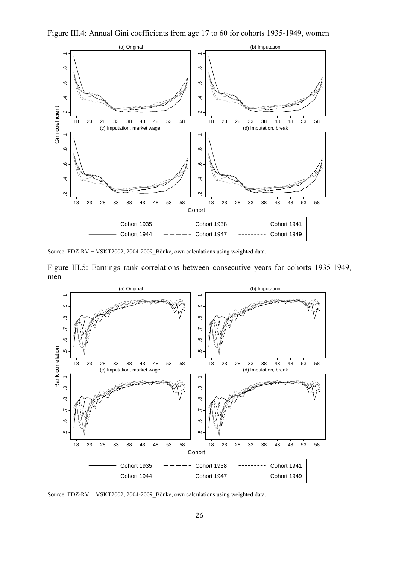



Source: FDZ-RV − VSKT2002, 2004-2009\_Bönke, own calculations using weighted data.

Figure III.5: Earnings rank correlations between consecutive years for cohorts 1935-1949, men

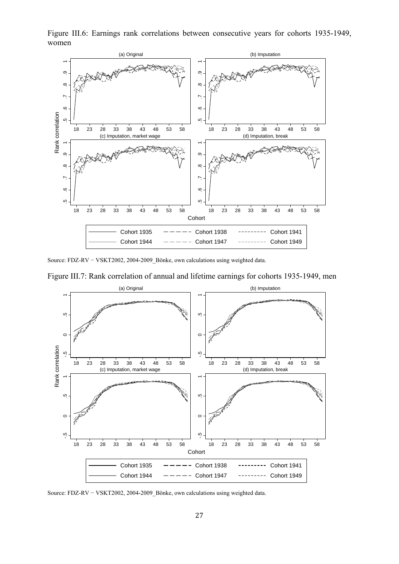Figure III.6: Earnings rank correlations between consecutive years for cohorts 1935-1949, women



Source: FDZ-RV − VSKT2002, 2004-2009\_Bönke, own calculations using weighted data.

Figure III.7: Rank correlation of annual and lifetime earnings for cohorts 1935-1949, men

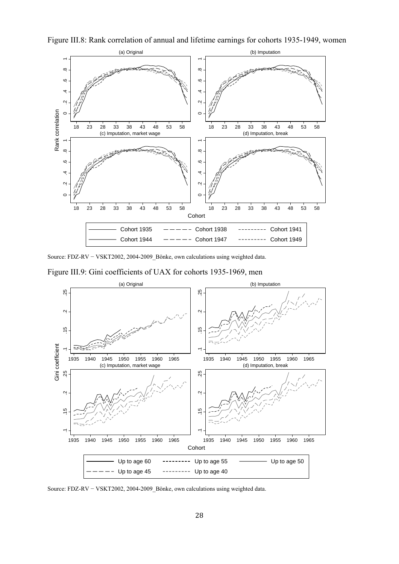

Figure III.8: Rank correlation of annual and lifetime earnings for cohorts 1935-1949, women

Source: FDZ-RV − VSKT2002, 2004-2009\_Bönke, own calculations using weighted data.

Figure III.9: Gini coefficients of UAX for cohorts 1935-1969, men



Source: FDZ-RV − VSKT2002, 2004-2009\_Bönke, own calculations using weighted data.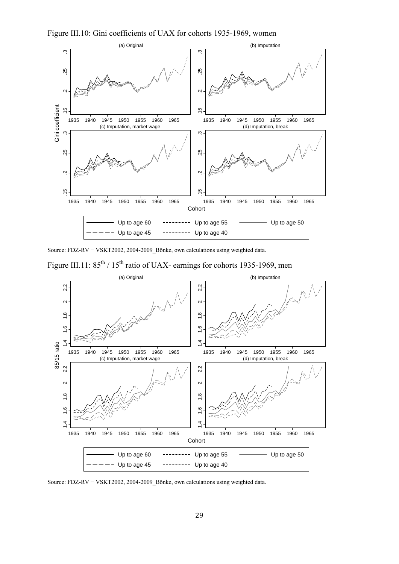



Source: FDZ-RV − VSKT2002, 2004-2009\_Bönke, own calculations using weighted data.

Figure III.11:  $85^{th}$  /  $15^{th}$  ratio of UAX- earnings for cohorts 1935-1969, men

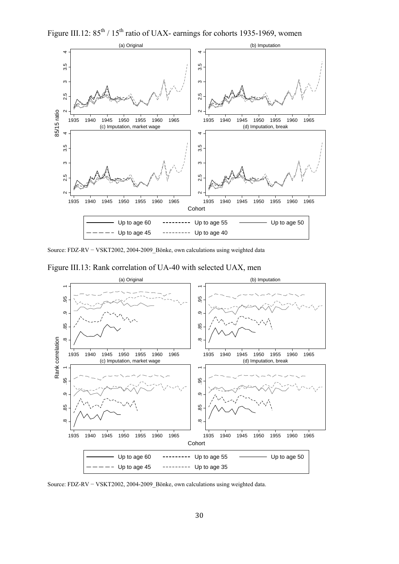Figure III.12:  $85^{th}$  /  $15^{th}$  ratio of UAX- earnings for cohorts 1935-1969, women



Source: FDZ-RV − VSKT2002, 2004-2009\_Bönke, own calculations using weighted data





Source: FDZ-RV − VSKT2002, 2004-2009\_Bönke, own calculations using weighted data.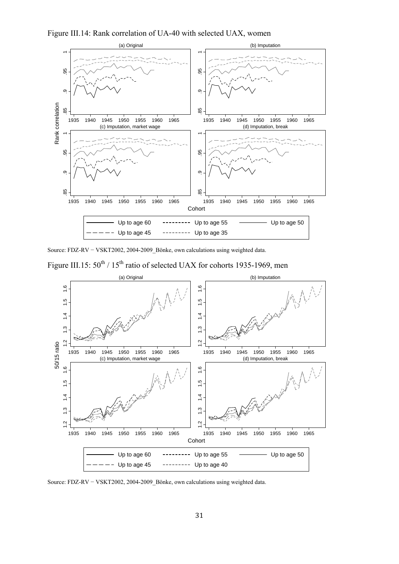Figure III.14: Rank correlation of UA-40 with selected UAX, women



Source: FDZ-RV − VSKT2002, 2004-2009\_Bönke, own calculations using weighted data.



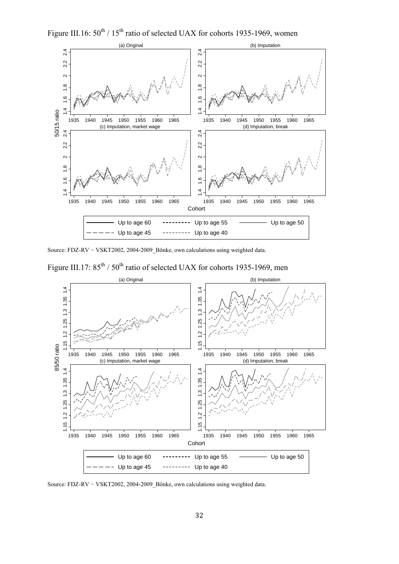Figure III.16:  $50^{th}$  /  $15^{th}$  ratio of selected UAX for cohorts 1935-1969, women



Source: FDZ-RV − VSKT2002, 2004-2009\_Bönke, own calculations using weighted data.



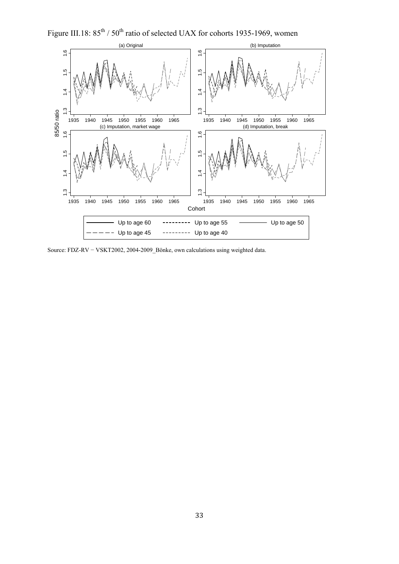Figure III.18:  $85^{th}$  /  $50^{th}$  ratio of selected UAX for cohorts 1935-1969, women



Source: FDZ-RV − VSKT2002, 2004-2009\_Bönke, own calculations using weighted data.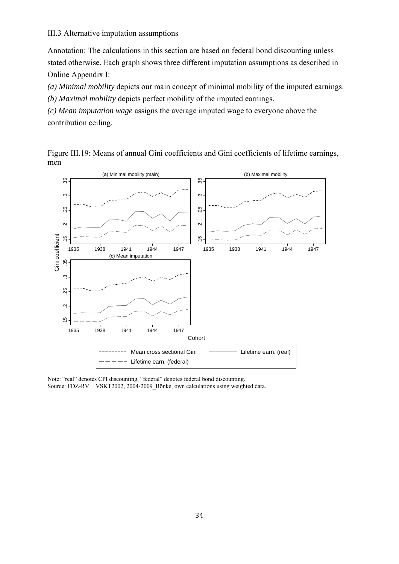### III.3 Alternative imputation assumptions

Annotation: The calculations in this section are based on federal bond discounting unless stated otherwise. Each graph shows three different imputation assumptions as described in Online Appendix I:

*(a) Minimal mobility* depicts our main concept of minimal mobility of the imputed earnings.

*(b) Maximal mobility* depicts perfect mobility of the imputed earnings.

*(c) Mean imputation wage* assigns the average imputed wage to everyone above the contribution ceiling.

Figure III.19: Means of annual Gini coefficients and Gini coefficients of lifetime earnings, men



Note: "real" denotes CPI discounting, "federal" denotes federal bond discounting.

Source: FDZ-RV − VSKT2002, 2004-2009\_Bönke, own calculations using weighted data.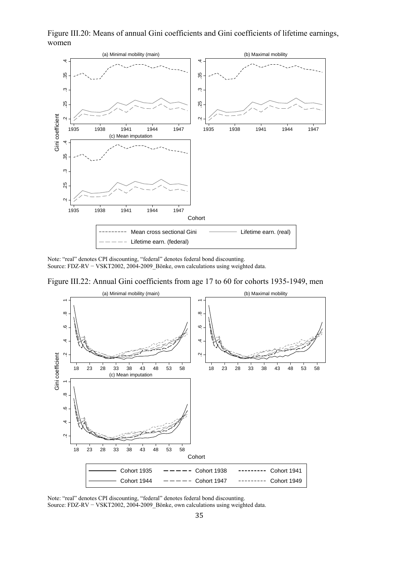Figure III.20: Means of annual Gini coefficients and Gini coefficients of lifetime earnings, women



Note: "real" denotes CPI discounting, "federal" denotes federal bond discounting. Source: FDZ-RV − VSKT2002, 2004-2009\_Bönke, own calculations using weighted data.

Figure III.22: Annual Gini coefficients from age 17 to 60 for cohorts 1935-1949, men



Note: "real" denotes CPI discounting, "federal" denotes federal bond discounting.<br>Source: FDZ-RV – VSKT2002, 2004-2009 Bönke, own calculations using weighted data.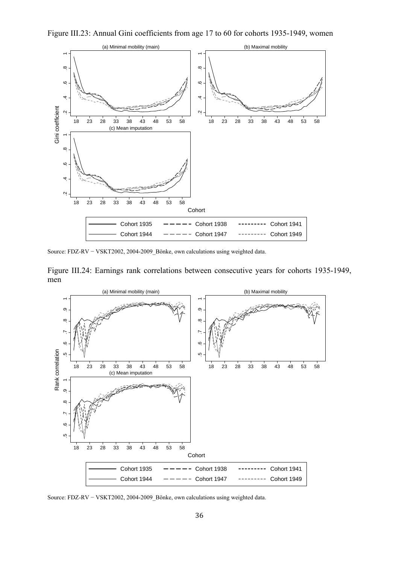



Source: FDZ-RV − VSKT2002, 2004-2009\_Bönke, own calculations using weighted data.

Figure III.24: Earnings rank correlations between consecutive years for cohorts 1935-1949, men

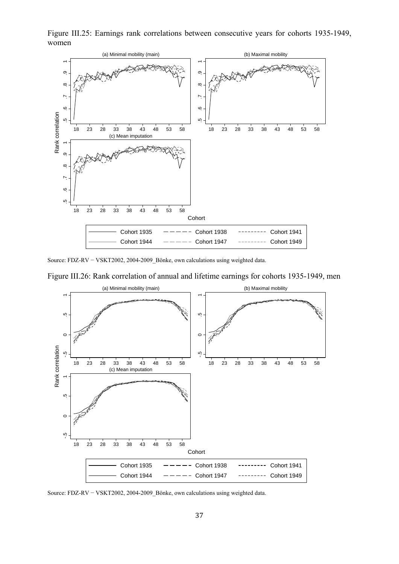Figure III.25: Earnings rank correlations between consecutive years for cohorts 1935-1949, women



Source: FDZ-RV − VSKT2002, 2004-2009\_Bönke, own calculations using weighted data.

Figure III.26: Rank correlation of annual and lifetime earnings for cohorts 1935-1949, men



Source: FDZ-RV − VSKT2002, 2004-2009\_Bönke, own calculations using weighted data.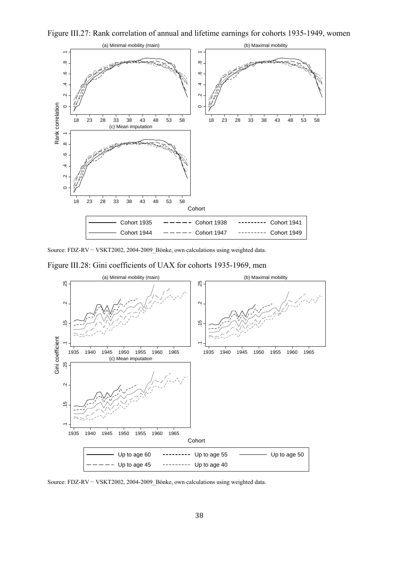



Source: FDZ-RV − VSKT2002, 2004-2009\_Bönke, own calculations using weighted data.





Source: FDZ-RV − VSKT2002, 2004-2009\_Bönke, own calculations using weighted data.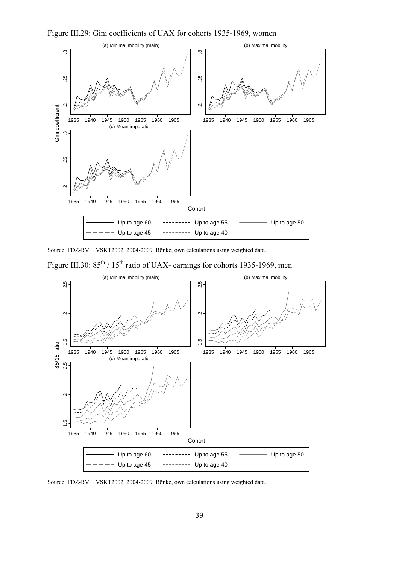Figure III.29: Gini coefficients of UAX for cohorts 1935-1969, women



Source: FDZ-RV − VSKT2002, 2004-2009\_Bönke, own calculations using weighted data.

Figure III.30:  $85^{th}$  /  $15^{th}$  ratio of UAX- earnings for cohorts 1935-1969, men

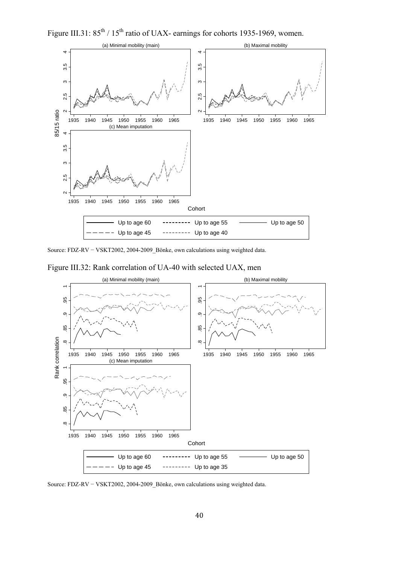Figure III.31:  $85^{th}$  /  $15^{th}$  ratio of UAX- earnings for cohorts 1935-1969, women.



Source: FDZ-RV − VSKT2002, 2004-2009\_Bönke, own calculations using weighted data.





Source: FDZ-RV − VSKT2002, 2004-2009\_Bönke, own calculations using weighted data.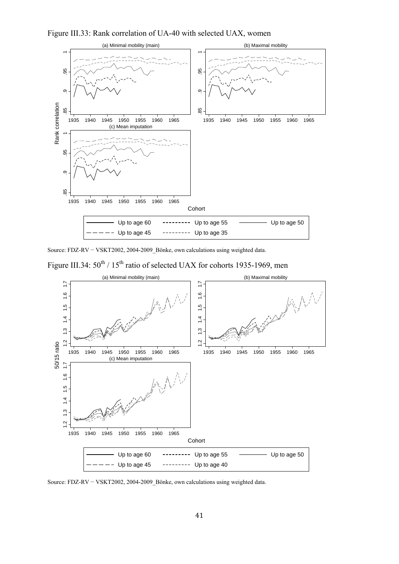Figure III.33: Rank correlation of UA-40 with selected UAX, women



Source: FDZ-RV − VSKT2002, 2004-2009\_Bönke, own calculations using weighted data.



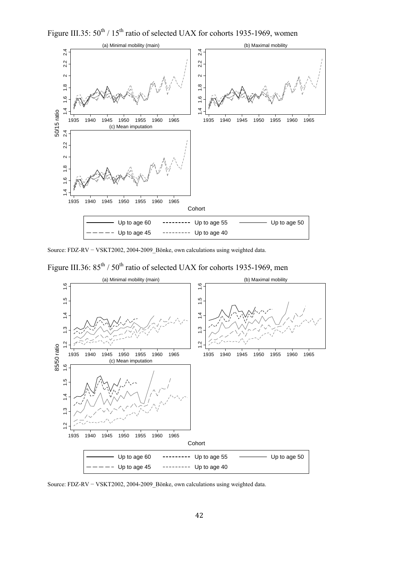Figure III.35:  $50^{th}$  /  $15^{th}$  ratio of selected UAX for cohorts 1935-1969, women



Source: FDZ-RV − VSKT2002, 2004-2009\_Bönke, own calculations using weighted data.



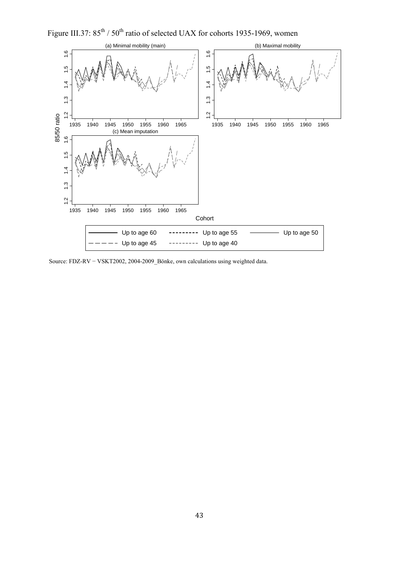Figure III.37:  $85^{th}$  /  $50^{th}$  ratio of selected UAX for cohorts 1935-1969, women



Source: FDZ-RV − VSKT2002, 2004-2009\_Bönke, own calculations using weighted data.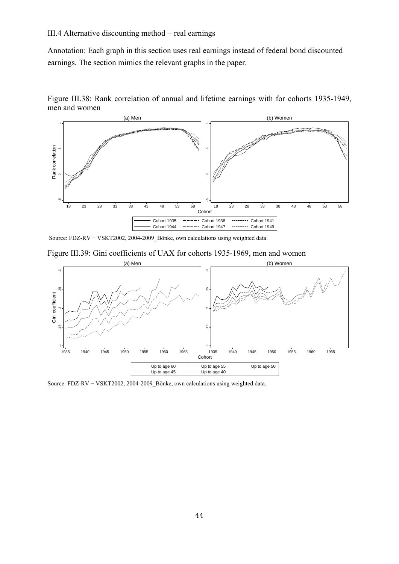### III.4 Alternative discounting method − real earnings

Annotation: Each graph in this section uses real earnings instead of federal bond discounted earnings. The section mimics the relevant graphs in the paper.





Source: FDZ-RV − VSKT2002, 2004-2009\_Bönke, own calculations using weighted data.



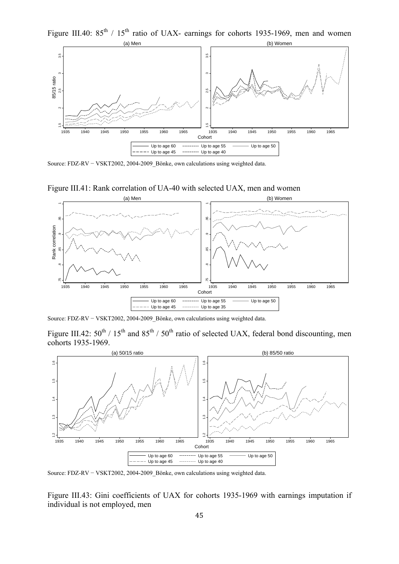Figure III.40:  $85^{th}$  /  $15^{th}$  ratio of UAX- earnings for cohorts 1935-1969, men and women



Source: FDZ-RV − VSKT2002, 2004-2009\_Bönke, own calculations using weighted data.



Figure III.41: Rank correlation of UA-40 with selected UAX, men and women

Source: FDZ-RV − VSKT2002, 2004-2009\_Bönke, own calculations using weighted data.

Figure III.42:  $50^{th}$  /  $15^{th}$  and  $85^{th}$  /  $50^{th}$  ratio of selected UAX, federal bond discounting, men cohorts 1935-1969.



Source: FDZ-RV − VSKT2002, 2004-2009\_Bönke, own calculations using weighted data.

Figure III.43: Gini coefficients of UAX for cohorts 1935-1969 with earnings imputation if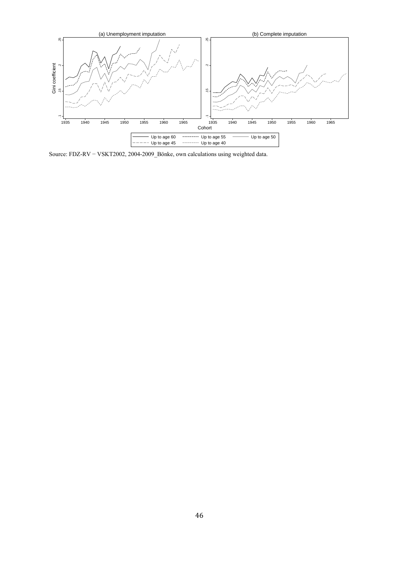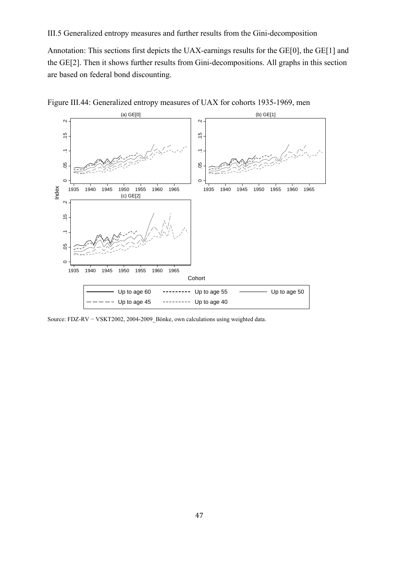III.5 Generalized entropy measures and further results from the Gini-decomposition

Annotation: This sections first depicts the UAX-earnings results for the GE[0], the GE[1] and the GE[2]. Then it shows further results from Gini-decompositions. All graphs in this section are based on federal bond discounting.



Figure III.44: Generalized entropy measures of UAX for cohorts 1935-1969, men

Source: FDZ-RV − VSKT2002, 2004-2009\_Bönke, own calculations using weighted data.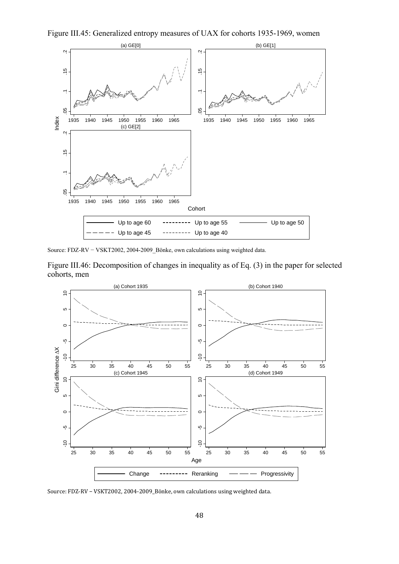



Source: FDZ-RV − VSKT2002, 2004-2009\_Bönke, own calculations using weighted data.

Figure III.46: Decomposition of changes in inequality as of Eq. (3) in the paper for selected cohorts, men

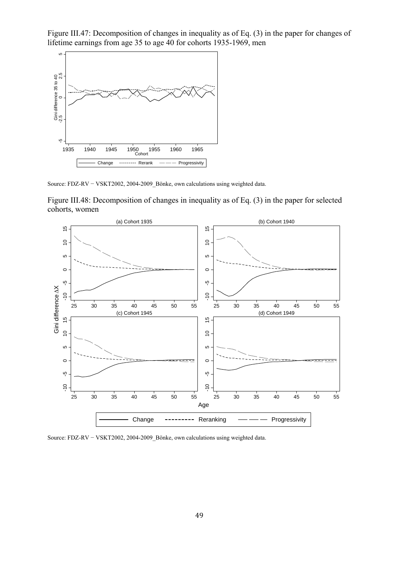Figure III.47: Decomposition of changes in inequality as of Eq. (3) in the paper for changes of lifetime earnings from age 35 to age 40 for cohorts 1935-1969, men



Source: FDZ-RV − VSKT2002, 2004-2009\_Bönke, own calculations using weighted data.

Figure III.48: Decomposition of changes in inequality as of Eq. (3) in the paper for selected cohorts, women

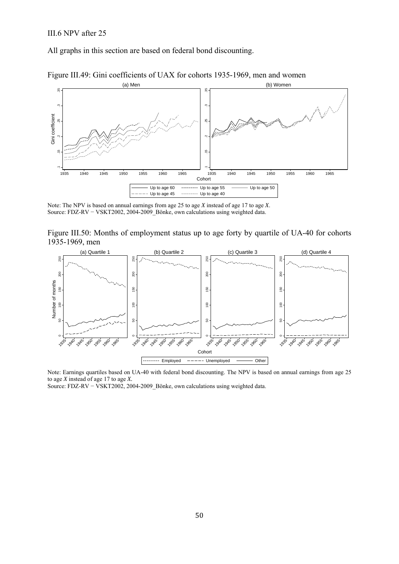All graphs in this section are based on federal bond discounting.



Figure III.49: Gini coefficients of UAX for cohorts 1935-1969, men and women

Note: The NPV is based on annual earnings from age 25 to age *X* instead of age 17 to age *X*. Source: FDZ-RV − VSKT2002, 2004-2009\_Bönke, own calculations using weighted data.

Figure III.50: Months of employment status up to age forty by quartile of UA-40 for cohorts 1935-1969, men



Note: Earnings quartiles based on UA-40 with federal bond discounting. The NPV is based on annual earnings from age 25 to age *X* instead of age 17 to age *X.*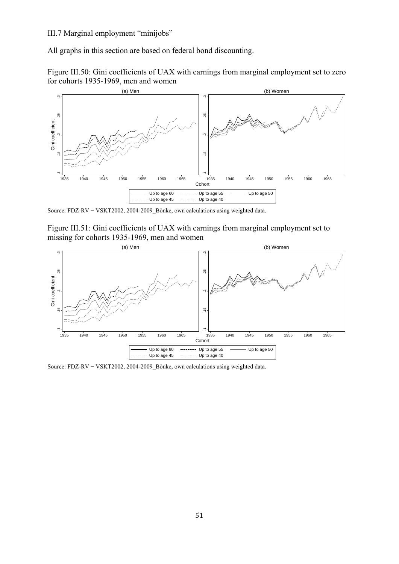### III.7 Marginal employment "minijobs"

All graphs in this section are based on federal bond discounting.





Source: FDZ-RV − VSKT2002, 2004-2009\_Bönke, own calculations using weighted data.





Source: FDZ-RV − VSKT2002, 2004-2009\_Bönke, own calculations using weighted data.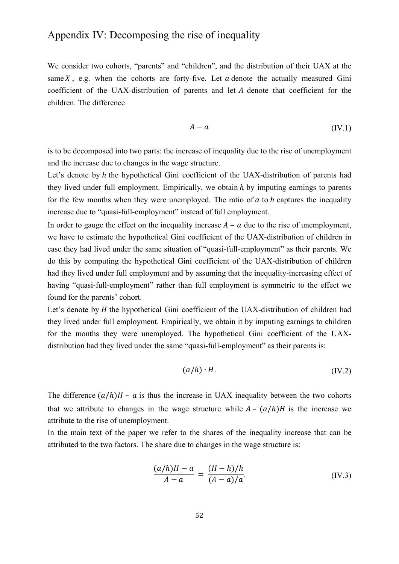### Appendix IV: Decomposing the rise of inequality

We consider two cohorts, "parents" and "children", and the distribution of their UAX at the same  $X$ , e.g. when the cohorts are forty-five. Let  $a$  denote the actually measured Gini coefficient of the UAX-distribution of parents and let A denote that coefficient for the children. The difference

$$
A - a \tag{IV.1}
$$

is to be decomposed into two parts: the increase of inequality due to the rise of unemployment and the increase due to changes in the wage structure.

Let's denote by  $h$  the hypothetical Gini coefficient of the UAX-distribution of parents had they lived under full employment. Empirically, we obtain  $h$  by imputing earnings to parents for the few months when they were unemployed. The ratio of  $a$  to  $h$  captures the inequality increase due to "quasi-full-employment" instead of full employment.

In order to gauge the effect on the inequality increase  $A - a$  due to the rise of unemployment, we have to estimate the hypothetical Gini coefficient of the UAX-distribution of children in case they had lived under the same situation of "quasi-full-employment" as their parents. We do this by computing the hypothetical Gini coefficient of the UAX-distribution of children had they lived under full employment and by assuming that the inequality-increasing effect of having "quasi-full-employment" rather than full employment is symmetric to the effect we found for the parents' cohort.

Let's denote by  $H$  the hypothetical Gini coefficient of the UAX-distribution of children had they lived under full employment. Empirically, we obtain it by imputing earnings to children for the months they were unemployed. The hypothetical Gini coefficient of the UAXdistribution had they lived under the same "quasi-full-employment" as their parents is:

$$
(a/h) \cdot H. \tag{IV.2}
$$

The difference  $(a/h)H - a$  is thus the increase in UAX inequality between the two cohorts that we attribute to changes in the wage structure while  $A - (a/h)H$  is the increase we attribute to the rise of unemployment.

In the main text of the paper we refer to the shares of the inequality increase that can be attributed to the two factors. The share due to changes in the wage structure is:

$$
\frac{(a/h)H - a}{A - a} = \frac{(H - h)/h}{(A - a)/a}.\tag{IV.3}
$$